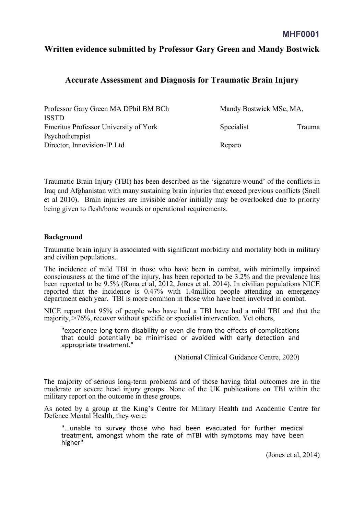# **Written evidence submitted by Professor Gary Green and Mandy Bostwick**

# **Accurate Assessment and Diagnosis for Traumatic Brain Injury**

| Professor Gary Green MA DPhil BM BCh         | Mandy Bostwick MSc, MA, |        |
|----------------------------------------------|-------------------------|--------|
| <b>ISSTD</b>                                 |                         |        |
| <b>Emeritus Professor University of York</b> | Specialist              | Trauma |
| Psychotherapist                              |                         |        |
| Director, Innovision-IP Ltd                  | Reparo                  |        |

Traumatic Brain Injury (TBI) has been described as the 'signature wound' of the conflicts in Iraq and Afghanistan with many sustaining brain injuries that exceed previous conflicts (Snell et al 2010). Brain injuries are invisible and/or initially may be overlooked due to priority being given to flesh/bone wounds or operational requirements.

### **Background**

Traumatic brain injury is associated with significant morbidity and mortality both in military and civilian populations.

The incidence of mild TBI in those who have been in combat, with minimally impaired consciousness at the time of the injury, has been reported to be 3.2% and the prevalence has been reported to be 9.5% (Rona et al, 2012, Jones et al. 2014). In civilian populations NICE reported that the incidence is 0.47% with 1.4million people attending an emergency department each year. TBI is more common in those who have been involved in combat.

NICE report that 95% of people who have had a TBI have had a mild TBI and that the majority, >76%, recover without specific or specialist intervention. Yet others,

"experience long-term disability or even die from the effects of complications that could potentially be minimised or avoided with early detection and appropriate treatment."

(National Clinical Guidance Centre, 2020)

The majority of serious long-term problems and of those having fatal outcomes are in the moderate or severe head injury groups. None of the UK publications on TBI within the military report on the outcome in these groups.

As noted by a group at the King's Centre for Military Health and Academic Centre for Defence Mental Health, they were:

"...unable to survey those who had been evacuated for further medical treatment, amongst whom the rate of mTBI with symptoms may have been higher"

(Jones et al, 2014)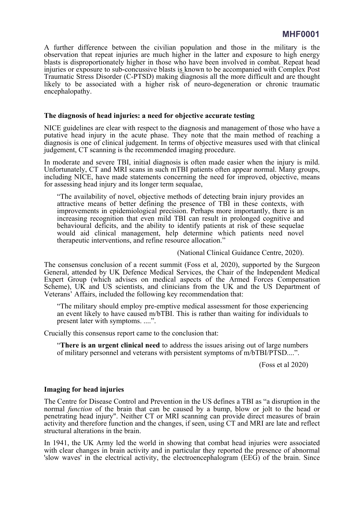A further difference between the civilian population and those in the military is the observation that repeat injuries are much higher in the latter and exposure to high energy blasts is disproportionately higher in those who have been involved in combat. Repeat head injuries or exposure to sub-concussive blasts is known to be accompanied with Complex Post Traumatic Stress Disorder (C-PTSD) making diagnosis all the more difficult and are thought likely to be associated with a higher risk of neuro-degeneration or chronic traumatic encephalopathy.

#### **The diagnosis of head injuries: a need for objective accurate testing**

NICE guidelines are clear with respect to the diagnosis and management of those who have a putative head injury in the acute phase. They note that the main method of reaching a diagnosis is one of clinical judgement. In terms of objective measures used with that clinical judgement, CT scanning is the recommended imaging procedure.

In moderate and severe TBI, initial diagnosis is often made easier when the injury is mild. Unfortunately, CT and MRI scans in such mTBI patients often appear normal. Many groups, including NICE, have made statements concerning the need for improved, objective, means for assessing head injury and its longer term sequalae,

"The availability of novel, objective methods of detecting brain injury provides an attractive means of better defining the presence of TBI in these contexts, with improvements in epidemiological precision. Perhaps more importantly, there is an increasing recognition that even mild TBI can result in prolonged cognitive and behavioural deficits, and the ability to identify patients at risk of these sequelae would aid clinical management, help determine which patients need novel therapeutic interventions, and refine resource allocation."

(National Clinical Guidance Centre, 2020).

The consensus conclusion of a recent summit (Foss et al, 2020), supported by the Surgeon General, attended by UK Defence Medical Services, the Chair of the Independent Medical Expert Group (which advises on medical aspects of the Armed Forces Compensation Scheme), UK and US scientists, and clinicians from the UK and the US Department of Veterans' Affairs, included the following key recommendation that:

"The military should employ pre-emptive medical assessment for those experiencing an event likely to have caused m/bTBI. This is rather than waiting for individuals to present later with symptoms. ....".

Crucially this consensus report came to the conclusion that:

"**There is an urgent clinical need** to address the issues arising out of large numbers of military personnel and veterans with persistent symptoms of m/bTBI/PTSD....".

(Foss et al 2020)

#### **Imaging for head injuries**

The Centre for Disease Control and Prevention in the US defines a TBI as "a disruption in the normal *function* of the brain that can be caused by a bump, blow or jolt to the head or penetrating head injury". Neither CT or MRI scanning can provide direct measures of brain activity and therefore function and the changes, if seen, using CT and MRI are late and reflect structural alterations in the brain.

In 1941, the UK Army led the world in showing that combat head injuries were associated with clear changes in brain activity and in particular they reported the presence of abnormal 'slow waves' in the electrical activity, the electroencephalogram (EEG) of the brain. Since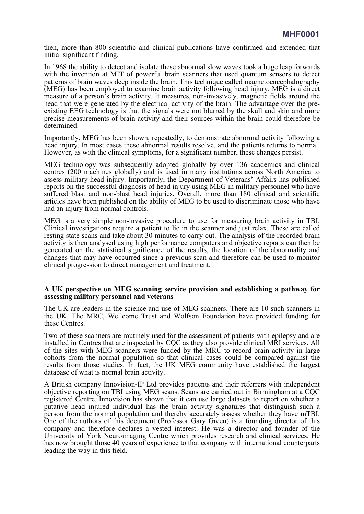then, more than 800 scientific and clinical publications have confirmed and extended that initial significant finding.

In 1968 the ability to detect and isolate these abnormal slow waves took a huge leap forwards with the invention at MIT of powerful brain scanners that used quantum sensors to detect patterns of brain waves deep inside the brain. This technique called magnetoencephalography (MEG) has been employed to examine brain activity following head injury. MEG is a direct measure of a person's brain activity. It measures, non-invasively, magnetic fields around the head that were generated by the electrical activity of the brain. The advantage over the preexisting EEG technology is that the signals were not blurred by the skull and skin and more precise measurements of brain activity and their sources within the brain could therefore be determined.

Importantly, MEG has been shown, repeatedly, to demonstrate abnormal activity following a head injury. In most cases these abnormal results resolve, and the patients returns to normal. However, as with the clinical symptoms, for a significant number, these changes persist.

MEG technology was subsequently adopted globally by over 136 academics and clinical centres (200 machines globally) and is used in many institutions across North America to assess military head injury. Importantly, the Department of Veterans' Affairs has published reports on the successful diagnosis of head injury using MEG in military personnel who have suffered blast and non-blast head injuries. Overall, more than 180 clinical and scientific articles have been published on the ability of MEG to be used to discriminate those who have had an injury from normal controls.

MEG is a very simple non-invasive procedure to use for measuring brain activity in TBI. Clinical investigations require a patient to lie in the scanner and just relax. These are called resting state scans and take about 30 minutes to carry out. The analysis of the recorded brain activity is then analysed using high performance computers and objective reports can then be generated on the statistical significance of the results, the location of the abnormality and changes that may have occurred since a previous scan and therefore can be used to monitor clinical progression to direct management and treatment.

#### **A UK perspective on MEG scanning service provision and establishing a pathway for assessing military personnel and veterans**

The UK are leaders in the science and use of MEG scanners. There are 10 such scanners in the UK. The MRC, Wellcome Trust and Wolfson Foundation have provided funding for these Centres.

Two of these scanners are routinely used for the assessment of patients with epilepsy and are installed in Centres that are inspected by CQC as they also provide clinical MRI services. All of the sites with MEG scanners were funded by the MRC to record brain activity in large cohorts from the normal population so that clinical cases could be compared against the results from those studies. In fact, the UK MEG community have established the largest database of what is normal brain activity.

A British company Innovision-IP Ltd provides patients and their referrers with independent objective reporting on TBI using MEG scans. Scans are carried out in Birmingham at a CQC registered Centre. Innovision has shown that it can use large datasets to report on whether a putative head injured individual has the brain activity signatures that distinguish such a person from the normal population and thereby accurately assess whether they have mTBI. One of the authors of this document (Professor Gary Green) is a founding director of this company and therefore declares a vested interest. He was a director and founder of the University of York Neuroimaging Centre which provides research and clinical services. He has now brought those 40 years of experience to that company with international counterparts leading the way in this field.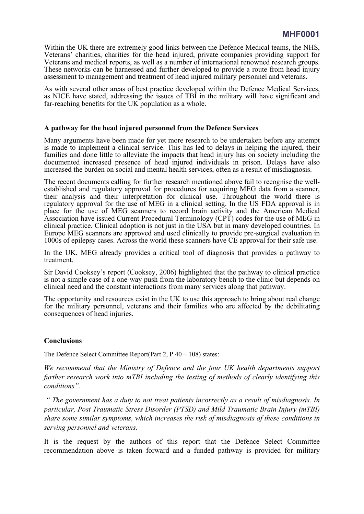Within the UK there are extremely good links between the Defence Medical teams, the NHS, Veterans' charities, charities for the head injured, private companies providing support for Veterans and medical reports, as well as a number of international renowned research groups. These networks can be harnessed and further developed to provide a route from head injury assessment to management and treatment of head injured military personnel and veterans.

As with several other areas of best practice developed within the Defence Medical Services, as NICE have stated, addressing the issues of TBI in the military will have significant and far-reaching benefits for the UK population as a whole.

#### **A pathway for the head injured personnel from the Defence Services**

Many arguments have been made for yet more research to be undertaken before any attempt is made to implement a clinical service. This has led to delays in helping the injured, their families and done little to alleviate the impacts that head injury has on society including the documented increased presence of head injured individuals in prison. Delays have also increased the burden on social and mental health services, often as a result of misdiagnosis.

The recent documents calling for further research mentioned above fail to recognise the wellestablished and regulatory approval for procedures for acquiring MEG data from a scanner, their analysis and their interpretation for clinical use. Throughout the world there is regulatory approval for the use of MEG in a clinical setting. In the US FDA approval is in place for the use of MEG scanners to record brain activity and the American Medical Association have issued Current Procedural Terminology (CPT) codes for the use of MEG in clinical practice. Clinical adoption is not just in the USA but in many developed countries. In Europe MEG scanners are approved and used clinically to provide pre-surgical evaluation in 1000s of epilepsy cases. Across the world these scanners have CE approval for their safe use.

In the UK, MEG already provides a critical tool of diagnosis that provides a pathway to treatment.

Sir David Cooksey's report (Cooksey, 2006) highlighted that the pathway to clinical practice is not a simple case of a one-way push from the laboratory bench to the clinic but depends on clinical need and the constant interactions from many services along that pathway.

The opportunity and resources exist in the UK to use this approach to bring about real change for the military personnel, veterans and their families who are affected by the debilitating consequences of head injuries.

#### **Conclusions**

The Defence Select Committee Report(Part 2, P 40 – 108) states:

*We recommend that the Ministry of Defence and the four UK health departments support further research work into mTBI including the testing of methods of clearly identifying this conditions".*

*" The government has a duty to not treat patients incorrectly as a result of misdiagnosis. In particular, Post Traumatic Stress Disorder (PTSD) and Mild Traumatic Brain Injury (mTBI) share some similar symptoms, which increases the risk of misdiagnosis of these conditions in serving personnel and veterans.*

It is the request by the authors of this report that the Defence Select Committee recommendation above is taken forward and a funded pathway is provided for military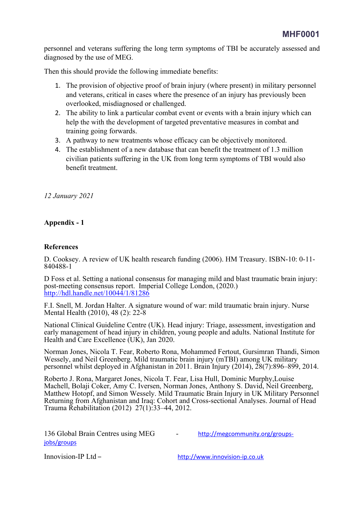personnel and veterans suffering the long term symptoms of TBI be accurately assessed and diagnosed by the use of MEG.

Then this should provide the following immediate benefits:

- 1. The provision of objective proof of brain injury (where present) in military personnel and veterans, critical in cases where the presence of an injury has previously been overlooked, misdiagnosed or challenged.
- 2. The ability to link a particular combat event or events with a brain injury which can help the with the development of targeted preventative measures in combat and training going forwards.
- 3. A pathway to new treatments whose efficacy can be objectively monitored.
- 4. The establishment of a new database that can benefit the treatment of 1.3 million civilian patients suffering in the UK from long term symptoms of TBI would also benefit treatment.

*12 January 2021*

## **Appendix - 1**

#### **References**

D. Cooksey. A review of UK health research funding (2006). HM Treasury. ISBN-10: 0-11- 840488-1

D Foss et al. Setting a national consensus for managing mild and blast traumatic brain injury: post-meeting consensus report. Imperial College London, (2020.) <http://hdl.handle.net/10044/1/81286>

F.I. Snell, M. Jordan Halter. A signature wound of war: mild traumatic brain injury. Nurse Mental Health (2010), 48 (2): 22-8

National Clinical Guideline Centre (UK). Head injury: Triage, assessment, investigation and early management of head injury in children, young people and adults. National Institute for Health and Care Excellence (UK), Jan 2020.

Norman Jones, Nicola T. Fear, Roberto Rona, Mohammed Fertout, Gursimran Thandi, Simon Wessely, and Neil Greenberg. Mild traumatic brain injury (mTBI) among UK military personnel whilst deployed in Afghanistan in 2011. Brain Injury (2014), 28(7):896–899, 2014.

Roberto J. Rona, Margaret Jones, Nicola T. Fear, Lisa Hull, Dominic Murphy,Louise Machell, Bolaji Coker, Amy C. Iversen, Norman Jones, Anthony S. David, Neil Greenberg, Matthew Hotopf, and Simon Wessely. Mild Traumatic Brain Injury in UK Military Personnel Returning from Afghanistan and Iraq: Cohort and Cross-sectional Analyses. Journal of Head Trauma Rehabilitation (2012) 27(1):33–44, 2012.

| 136 Global Brain Centres using MEG | $\sim$ | http://megcommunity.org/groups- |
|------------------------------------|--------|---------------------------------|
| jobs/groups                        |        |                                 |

Innovision-IP Ltd – [http://www.innovision-ip.co.uk](http://www.innovision-ip.co.uk/)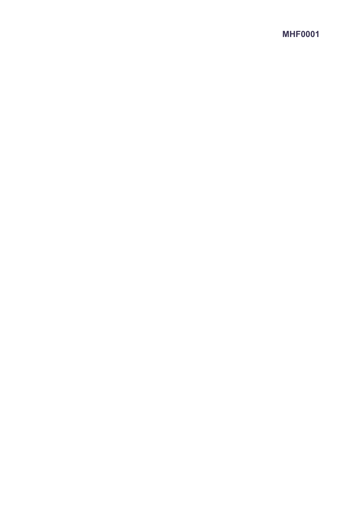# **MHF0001**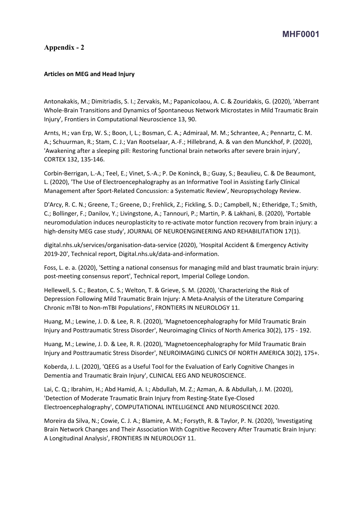## **Appendix - 2**

#### **Articles on MEG and Head Injury**

Antonakakis, M.; Dimitriadis, S. I.; Zervakis, M.; Papanicolaou, A. C. & Zouridakis, G. (2020), 'Aberrant Whole-Brain Transitions and Dynamics of Spontaneous Network Microstates in Mild Traumatic Brain Injury', Frontiers in Computational Neuroscience 13, 90.

Arnts, H.; van Erp, W. S.; Boon, I, L.; Bosman, C. A.; Admiraal, M. M.; Schrantee, A.; Pennartz, C. M. A.; Schuurman, R.; Stam, C. J.; Van Rootselaar, A.-F.; Hillebrand, A. & van den Munckhof, P. (2020), 'Awakening after a sleeping pill: Restoring functional brain networks after severe brain injury', CORTEX 132, 135-146.

Corbin-Berrigan, L.-A.; Teel, E.; Vinet, S.-A.; P. De Koninck, B.; Guay, S.; Beaulieu, C. & De Beaumont, L. (2020), 'The Use of Electroencephalography as an Informative Tool in Assisting Early Clinical Management after Sport-Related Concussion: a Systematic Review', Neuropsychology Review.

D'Arcy, R. C. N.; Greene, T.; Greene, D.; Frehlick, Z.; Fickling, S. D.; Campbell, N.; Etheridge, T.; Smith, C.; Bollinger, F.; Danilov, Y.; Livingstone, A.; Tannouri, P.; Martin, P. & Lakhani, B. (2020), 'Portable neuromodulation induces neuroplasticity to re-activate motor function recovery from brain injury: a high-density MEG case study', JOURNAL OF NEUROENGINEERING AND REHABILITATION 17(1).

digital.nhs.uk/services/organisation-data-service (2020), 'Hospital Accident & Emergency Activity 2019-20', Technical report, Digital.nhs.uk/data-and-information.

Foss, L. e. a. (2020), 'Setting a national consensus for managing mild and blast traumatic brain injury: post-meeting consensus report', Technical report, Imperial College London.

Hellewell, S. C.; Beaton, C. S.; Welton, T. & Grieve, S. M. (2020), 'Characterizing the Risk of Depression Following Mild Traumatic Brain Injury: A Meta-Analysis of the Literature Comparing Chronic mTBI to Non-mTBI Populations', FRONTIERS IN NEUROLOGY 11.

Huang, M.; Lewine, J. D. & Lee, R. R. (2020), 'Magnetoencephalography for Mild Traumatic Brain Injury and Posttraumatic Stress Disorder', Neuroimaging Clinics of North America 30(2), 175 - 192.

Huang, M.; Lewine, J. D. & Lee, R. R. (2020), 'Magnetoencephalography for Mild Traumatic Brain Injury and Posttraumatic Stress Disorder', NEUROIMAGING CLINICS OF NORTH AMERICA 30(2), 175+.

Koberda, J. L. (2020), 'QEEG as a Useful Tool for the Evaluation of Early Cognitive Changes in Dementia and Traumatic Brain Injury', CLINICAL EEG AND NEUROSCIENCE.

Lai, C. Q.; Ibrahim, H.; Abd Hamid, A. I.; Abdullah, M. Z.; Azman, A. & Abdullah, J. M. (2020), 'Detection of Moderate Traumatic Brain Injury from Resting-State Eye-Closed Electroencephalography', COMPUTATIONAL INTELLIGENCE AND NEUROSCIENCE 2020.

Moreira da Silva, N.; Cowie, C. J. A.; Blamire, A. M.; Forsyth, R. & Taylor, P. N. (2020), 'Investigating Brain Network Changes and Their Association With Cognitive Recovery After Traumatic Brain Injury: A Longitudinal Analysis', FRONTIERS IN NEUROLOGY 11.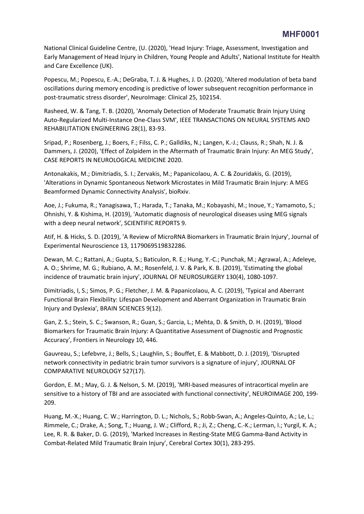National Clinical Guideline Centre, (U. (2020), 'Head Injury: Triage, Assessment, Investigation and Early Management of Head Injury in Children, Young People and Adults', National Institute for Health and Care Excellence (UK).

Popescu, M.; Popescu, E.-A.; DeGraba, T. J. & Hughes, J. D. (2020), 'Altered modulation of beta band oscillations during memory encoding is predictive of lower subsequent recognition performance in post-traumatic stress disorder', NeuroImage: Clinical 25, 102154.

Rasheed, W. & Tang, T. B. (2020), 'Anomaly Detection of Moderate Traumatic Brain Injury Using Auto-Regularized Multi-Instance One-Class SVM', IEEE TRANSACTIONS ON NEURAL SYSTEMS AND REHABILITATION ENGINEERING 28(1), 83-93.

Sripad, P.; Rosenberg, J.; Boers, F.; Filss, C. P.; Galldiks, N.; Langen, K.-J.; Clauss, R.; Shah, N. J. & Dammers, J. (2020), 'Effect of Zolpidem in the Aftermath of Traumatic Brain Injury: An MEG Study', CASE REPORTS IN NEUROLOGICAL MEDICINE 2020.

Antonakakis, M.; Dimitriadis, S. I.; Zervakis, M.; Papanicolaou, A. C. & Zouridakis, G. (2019), 'Alterations in Dynamic Spontaneous Network Microstates in Mild Traumatic Brain Injury: A MEG Beamformed Dynamic Connectivity Analysis', bioRxiv.

Aoe, J.; Fukuma, R.; Yanagisawa, T.; Harada, T.; Tanaka, M.; Kobayashi, M.; Inoue, Y.; Yamamoto, S.; Ohnishi, Y. & Kishima, H. (2019), 'Automatic diagnosis of neurological diseases using MEG signals with a deep neural network', SCIENTIFIC REPORTS 9.

Atif, H. & Hicks, S. D. (2019), 'A Review of MicroRNA Biomarkers in Traumatic Brain Injury', Journal of Experimental Neuroscience 13, 1179069519832286.

Dewan, M. C.; Rattani, A.; Gupta, S.; Baticulon, R. E.; Hung, Y.-C.; Punchak, M.; Agrawal, A.; Adeleye, A. O.; Shrime, M. G.; Rubiano, A. M.; Rosenfeld, J. V. & Park, K. B. (2019), 'Estimating the global incidence of traumatic brain injury', JOURNAL OF NEUROSURGERY 130(4), 1080-1097.

Dimitriadis, I, S.; Simos, P. G.; Fletcher, J. M. & Papanicolaou, A. C. (2019), 'Typical and Aberrant Functional Brain Flexibility: Lifespan Development and Aberrant Organization in Traumatic Brain Injury and Dyslexia', BRAIN SCIENCES 9(12).

Gan, Z. S.; Stein, S. C.; Swanson, R.; Guan, S.; Garcia, L.; Mehta, D. & Smith, D. H. (2019), 'Blood Biomarkers for Traumatic Brain Injury: A Quantitative Assessment of Diagnostic and Prognostic Accuracy', Frontiers in Neurology 10, 446.

Gauvreau, S.; Lefebvre, J.; Bells, S.; Laughlin, S.; Bouffet, E. & Mabbott, D. J. (2019), 'Disrupted network connectivity in pediatric brain tumor survivors is a signature of injury', JOURNAL OF COMPARATIVE NEUROLOGY 527(17).

Gordon, E. M.; May, G. J. & Nelson, S. M. (2019), 'MRI-based measures of intracortical myelin are sensitive to a history of TBI and are associated with functional connectivity', NEUROIMAGE 200, 199- 209.

Huang, M.-X.; Huang, C. W.; Harrington, D. L.; Nichols, S.; Robb-Swan, A.; Angeles-Quinto, A.; Le, L.; Rimmele, C.; Drake, A.; Song, T.; Huang, J. W.; Clifford, R.; Ji, Z.; Cheng, C.-K.; Lerman, I.; Yurgil, K. A.; Lee, R. R. & Baker, D. G. (2019), 'Marked Increases in Resting-State MEG Gamma-Band Activity in Combat-Related Mild Traumatic Brain Injury', Cerebral Cortex 30(1), 283-295.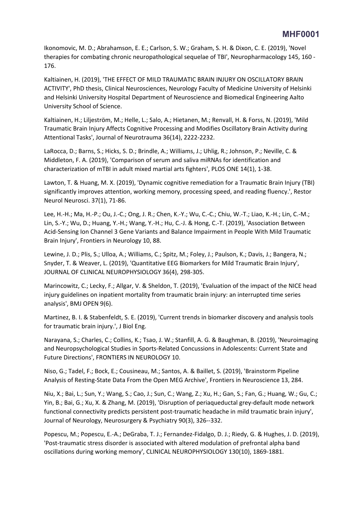Ikonomovic, M. D.; Abrahamson, E. E.; Carlson, S. W.; Graham, S. H. & Dixon, C. E. (2019), 'Novel therapies for combating chronic neuropathological sequelae of TBI', Neuropharmacology 145, 160 - 176.

Kaltiainen, H. (2019), 'THE EFFECT OF MILD TRAUMATIC BRAIN INJURY ON OSCILLATORY BRAIN ACTIVITY', PhD thesis, Clinical Neurosciences, Neurology Faculty of Medicine University of Helsinki and Helsinki University Hospital Department of Neuroscience and Biomedical Engineering Aalto University School of Science.

Kaltiainen, H.; Liljeström, M.; Helle, L.; Salo, A.; Hietanen, M.; Renvall, H. & Forss, N. (2019), 'Mild Traumatic Brain Injury Affects Cognitive Processing and Modifies Oscillatory Brain Activity during Attentional Tasks', Journal of Neurotrauma 36(14), 2222-2232.

LaRocca, D.; Barns, S.; Hicks, S. D.; Brindle, A.; Williams, J.; Uhlig, R.; Johnson, P.; Neville, C. & Middleton, F. A. (2019), 'Comparison of serum and saliva miRNAs for identification and characterization of mTBI in adult mixed martial arts fighters', PLOS ONE 14(1), 1-38.

Lawton, T. & Huang, M. X. (2019), 'Dynamic cognitive remediation for a Traumatic Brain Injury (TBI) significantly improves attention, working memory, processing speed, and reading fluency.', Restor Neurol Neurosci. 37(1), 71-86.

Lee, H.-H.; Ma, H.-P.; Ou, J.-C.; Ong, J. R.; Chen, K.-Y.; Wu, C.-C.; Chiu, W.-T.; Liao, K.-H.; Lin, C.-M.; Lin, S.-Y.; Wu, D.; Huang, Y.-H.; Wang, Y.-H.; Hu, C.-J. & Hong, C.-T. (2019), 'Association Between Acid-Sensing Ion Channel 3 Gene Variants and Balance Impairment in People With Mild Traumatic Brain Injury', Frontiers in Neurology 10, 88.

Lewine, J. D.; Plis, S.; Ulloa, A.; Williams, C.; Spitz, M.; Foley, J.; Paulson, K.; Davis, J.; Bangera, N.; Snyder, T. & Weaver, L. (2019), 'Quantitative EEG Biomarkers for Mild Traumatic Brain Injury', JOURNAL OF CLINICAL NEUROPHYSIOLOGY 36(4), 298-305.

Marincowitz, C.; Lecky, F.; Allgar, V. & Sheldon, T. (2019), 'Evaluation of the impact of the NICE head injury guidelines on inpatient mortality from traumatic brain injury: an interrupted time series analysis', BMJ OPEN 9(6).

Martinez, B. I. & Stabenfeldt, S. E. (2019), 'Current trends in biomarker discovery and analysis tools for traumatic brain injury.', J Biol Eng.

Narayana, S.; Charles, C.; Collins, K.; Tsao, J. W.; Stanfill, A. G. & Baughman, B. (2019), 'Neuroimaging and Neuropsychological Studies in Sports-Related Concussions in Adolescents: Current State and Future Directions', FRONTIERS IN NEUROLOGY 10.

Niso, G.; Tadel, F.; Bock, E.; Cousineau, M.; Santos, A. & Baillet, S. (2019), 'Brainstorm Pipeline Analysis of Resting-State Data From the Open MEG Archive', Frontiers in Neuroscience 13, 284.

Niu, X.; Bai, L.; Sun, Y.; Wang, S.; Cao, J.; Sun, C.; Wang, Z.; Xu, H.; Gan, S.; Fan, G.; Huang, W.; Gu, C.; Yin, B.; Bai, G.; Xu, X. & Zhang, M. (2019), 'Disruption of periaqueductal grey-default mode network functional connectivity predicts persistent post-traumatic headache in mild traumatic brain injury', Journal of Neurology, Neurosurgery & Psychiatry 90(3), 326--332.

Popescu, M.; Popescu, E.-A.; DeGraba, T. J.; Fernandez-Fidalgo, D. J.; Riedy, G. & Hughes, J. D. (2019), 'Post-traumatic stress disorder is associated with altered modulation of prefrontal alpha band oscillations during working memory', CLINICAL NEUROPHYSIOLOGY 130(10), 1869-1881.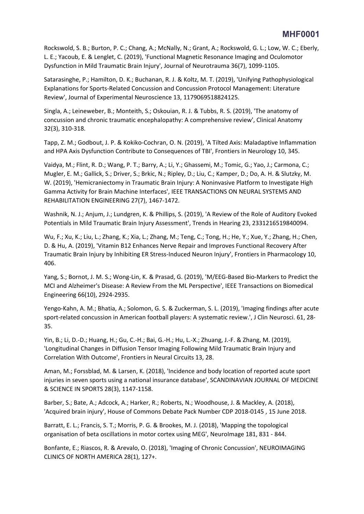Rockswold, S. B.; Burton, P. C.; Chang, A.; McNally, N.; Grant, A.; Rockswold, G. L.; Low, W. C.; Eberly, L. E.; Yacoub, E. & Lenglet, C. (2019), 'Functional Magnetic Resonance Imaging and Oculomotor Dysfunction in Mild Traumatic Brain Injury', Journal of Neurotrauma 36(7), 1099-1105.

Satarasinghe, P.; Hamilton, D. K.; Buchanan, R. J. & Koltz, M. T. (2019), 'Unifying Pathophysiological Explanations for Sports-Related Concussion and Concussion Protocol Management: Literature Review', Journal of Experimental Neuroscience 13, 1179069518824125.

Singla, A.; Leineweber, B.; Monteith, S.; Oskouian, R. J. & Tubbs, R. S. (2019), 'The anatomy of concussion and chronic traumatic encephalopathy: A comprehensive review', Clinical Anatomy 32(3), 310-318.

Tapp, Z. M.; Godbout, J. P. & Kokiko-Cochran, O. N. (2019), 'A Tilted Axis: Maladaptive Inflammation and HPA Axis Dysfunction Contribute to Consequences of TBI', Frontiers in Neurology 10, 345.

Vaidya, M.; Flint, R. D.; Wang, P. T.; Barry, A.; Li, Y.; Ghassemi, M.; Tomic, G.; Yao, J.; Carmona, C.; Mugler, E. M.; Gallick, S.; Driver, S.; Brkic, N.; Ripley, D.; Liu, C.; Kamper, D.; Do, A. H. & Slutzky, M. W. (2019), 'Hemicraniectomy in Traumatic Brain Injury: A Noninvasive Platform to Investigate High Gamma Activity for Brain Machine Interfaces', IEEE TRANSACTIONS ON NEURAL SYSTEMS AND REHABILITATION ENGINEERING 27(7), 1467-1472.

Washnik, N. J.; Anjum, J.; Lundgren, K. & Phillips, S. (2019), 'A Review of the Role of Auditory Evoked Potentials in Mild Traumatic Brain Injury Assessment', Trends in Hearing 23, 2331216519840094.

Wu, F.; Xu, K.; Liu, L.; Zhang, K.; Xia, L.; Zhang, M.; Teng, C.; Tong, H.; He, Y.; Xue, Y.; Zhang, H.; Chen, D. & Hu, A. (2019), 'Vitamin B12 Enhances Nerve Repair and Improves Functional Recovery After Traumatic Brain Injury by Inhibiting ER Stress-Induced Neuron Injury', Frontiers in Pharmacology 10, 406.

Yang, S.; Bornot, J. M. S.; Wong-Lin, K. & Prasad, G. (2019), 'M/EEG-Based Bio-Markers to Predict the MCI and Alzheimer's Disease: A Review From the ML Perspective', IEEE Transactions on Biomedical Engineering 66(10), 2924-2935.

Yengo-Kahn, A. M.; Bhatia, A.; Solomon, G. S. & Zuckerman, S. L. (2019), 'Imaging findings after acute sport-related concussion in American football players: A systematic review.', J Clin Neurosci. 61, 28- 35.

Yin, B.; Li, D.-D.; Huang, H.; Gu, C.-H.; Bai, G.-H.; Hu, L.-X.; Zhuang, J.-F. & Zhang, M. (2019), 'Longitudinal Changes in Diffusion Tensor Imaging Following Mild Traumatic Brain Injury and Correlation With Outcome', Frontiers in Neural Circuits 13, 28.

Aman, M.; Forssblad, M. & Larsen, K. (2018), 'Incidence and body location of reported acute sport injuries in seven sports using a national insurance database', SCANDINAVIAN JOURNAL OF MEDICINE & SCIENCE IN SPORTS 28(3), 1147-1158.

Barber, S.; Bate, A.; Adcock, A.; Harker, R.; Roberts, N.; Woodhouse, J. & Mackley, A. (2018), 'Acquired brain injury', House of Commons Debate Pack Number CDP 2018-0145 , 15 June 2018.

Barratt, E. L.; Francis, S. T.; Morris, P. G. & Brookes, M. J. (2018), 'Mapping the topological organisation of beta oscillations in motor cortex using MEG', NeuroImage 181, 831 - 844.

Bonfante, E.; Riascos, R. & Arevalo, O. (2018), 'Imaging of Chronic Concussion', NEUROIMAGING CLINICS OF NORTH AMERICA 28(1), 127+.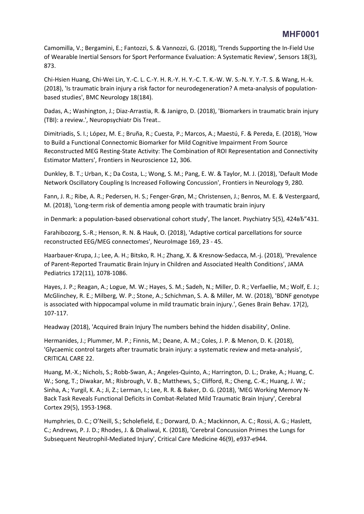Camomilla, V.; Bergamini, E.; Fantozzi, S. & Vannozzi, G. (2018), 'Trends Supporting the In-Field Use of Wearable Inertial Sensors for Sport Performance Evaluation: A Systematic Review', Sensors 18(3), 873.

Chi-Hsien Huang, Chi-Wei Lin, Y.-C. L. C.-Y. H. R.-Y. H. Y.-C. T. K.-W. W. S.-N. Y. Y.-T. S. & Wang, H.-k. (2018), 'Is traumatic brain injury a risk factor for neurodegeneration? A meta-analysis of populationbased studies', BMC Neurology 18(184).

Dadas, A.; Washington, J.; Diaz-Arrastia, R. & Janigro, D. (2018), 'Biomarkers in traumatic brain injury (TBI): a review.', Neuropsychiatr Dis Treat..

Dimitriadis, S. I.; López, M. E.; Bruña, R.; Cuesta, P.; Marcos, A.; Maestú, F. & Pereda, E. (2018), 'How to Build a Functional Connectomic Biomarker for Mild Cognitive Impairment From Source Reconstructed MEG Resting-State Activity: The Combination of ROI Representation and Connectivity Estimator Matters', Frontiers in Neuroscience 12, 306.

Dunkley, B. T.; Urban, K.; Da Costa, L.; Wong, S. M.; Pang, E. W. & Taylor, M. J. (2018), 'Default Mode Network Oscillatory Coupling Is Increased Following Concussion', Frontiers in Neurology 9, 280.

Fann, J. R.; Ribe, A. R.; Pedersen, H. S.; Fenger-Grøn, M.; Christensen, J.; Benros, M. E. & Vestergaard, M. (2018), 'Long-term risk of dementia among people with traumatic brain injury

in Denmark: a population-based observational cohort study', The lancet. Psychiatry 5(5), 424BB"431.

Farahibozorg, S.-R.; Henson, R. N. & Hauk, O. (2018), 'Adaptive cortical parcellations for source reconstructed EEG/MEG connectomes', NeuroImage 169, 23 - 45.

Haarbauer-Krupa, J.; Lee, A. H.; Bitsko, R. H.; Zhang, X. & Kresnow-Sedacca, M.-j. (2018), 'Prevalence of Parent-Reported Traumatic Brain Injury in Children and Associated Health Conditions', JAMA Pediatrics 172(11), 1078-1086.

Hayes, J. P.; Reagan, A.; Logue, M. W.; Hayes, S. M.; Sadeh, N.; Miller, D. R.; Verfaellie, M.; Wolf, E. J.; McGlinchey, R. E.; Milberg, W. P.; Stone, A.; Schichman, S. A. & Miller, M. W. (2018), 'BDNF genotype is associated with hippocampal volume in mild traumatic brain injury.', Genes Brain Behav. 17(2), 107-117.

Headway (2018), 'Acquired Brain Injury The numbers behind the hidden disability', Online.

Hermanides, J.; Plummer, M. P.; Finnis, M.; Deane, A. M.; Coles, J. P. & Menon, D. K. (2018), 'Glycaemic control targets after traumatic brain injury: a systematic review and meta-analysis', CRITICAL CARE 22.

Huang, M.-X.; Nichols, S.; Robb-Swan, A.; Angeles-Quinto, A.; Harrington, D. L.; Drake, A.; Huang, C. W.; Song, T.; Diwakar, M.; Risbrough, V. B.; Matthews, S.; Clifford, R.; Cheng, C.-K.; Huang, J. W.; Sinha, A.; Yurgil, K. A.; Ji, Z.; Lerman, I.; Lee, R. R. & Baker, D. G. (2018), 'MEG Working Memory N-Back Task Reveals Functional Deficits in Combat-Related Mild Traumatic Brain Injury', Cerebral Cortex 29(5), 1953-1968.

Humphries, D. C.; O'Neill, S.; Scholefield, E.; Dorward, D. A.; Mackinnon, A. C.; Rossi, A. G.; Haslett, C.; Andrews, P. J. D.; Rhodes, J. & Dhaliwal, K. (2018), 'Cerebral Concussion Primes the Lungs for Subsequent Neutrophil-Mediated Injury', Critical Care Medicine 46(9), e937-e944.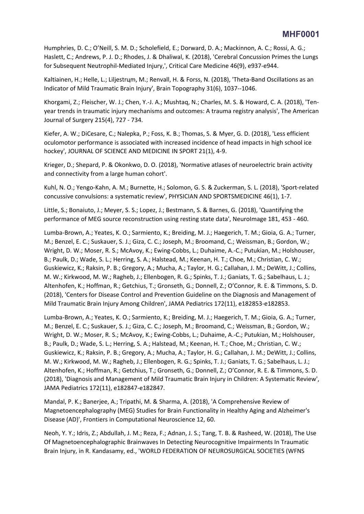Humphries, D. C.; O'Neill, S. M. D.; Scholefield, E.; Dorward, D. A.; Mackinnon, A. C.; Rossi, A. G.; Haslett, C.; Andrews, P. J. D.; Rhodes, J. & Dhaliwal, K. (2018), 'Cerebral Concussion Primes the Lungs for Subsequent Neutrophil-Mediated Injury,', Critical Care Medicine 46(9), e937-e944.

Kaltiainen, H.; Helle, L.; Liljestrцm, M.; Renvall, H. & Forss, N. (2018), 'Theta-Band Oscillations as an Indicator of Mild Traumatic Brain Injury', Brain Topography 31(6), 1037--1046.

Khorgami, Z.; Fleischer, W. J.; Chen, Y.-J. A.; Mushtaq, N.; Charles, M. S. & Howard, C. A. (2018), 'Tenyear trends in traumatic injury mechanisms and outcomes: A trauma registry analysis', The American Journal of Surgery 215(4), 727 - 734.

Kiefer, A. W.; DiCesare, C.; Nalepka, P.; Foss, K. B.; Thomas, S. & Myer, G. D. (2018), 'Less efficient oculomotor performance is associated with increased incidence of head impacts in high school ice hockey', JOURNAL OF SCIENCE AND MEDICINE IN SPORT 21(1), 4-9.

Krieger, D.; Shepard, P. & Okonkwo, D. O. (2018), 'Normative atlases of neuroelectric brain activity and connectivity from a large human cohort'.

Kuhl, N. O.; Yengo-Kahn, A. M.; Burnette, H.; Solomon, G. S. & Zuckerman, S. L. (2018), 'Sport-related concussive convulsions: a systematic review', PHYSICIAN AND SPORTSMEDICINE 46(1), 1-7.

Little, S.; Bonaiuto, J.; Meyer, S. S.; Lopez, J.; Bestmann, S. & Barnes, G. (2018), 'Quantifying the performance of MEG source reconstruction using resting state data', NeuroImage 181, 453 - 460.

Lumba-Brown, A.; Yeates, K. O.; Sarmiento, K.; Breiding, M. J.; Haegerich, T. M.; Gioia, G. A.; Turner, M.; Benzel, E. C.; Suskauer, S. J.; Giza, C. C.; Joseph, M.; Broomand, C.; Weissman, B.; Gordon, W.; Wright, D. W.; Moser, R. S.; McAvoy, K.; Ewing-Cobbs, L.; Duhaime, A.-C.; Putukian, M.; Holshouser, B.; Paulk, D.; Wade, S. L.; Herring, S. A.; Halstead, M.; Keenan, H. T.; Choe, M.; Christian, C. W.; Guskiewicz, K.; Raksin, P. B.; Gregory, A.; Mucha, A.; Taylor, H. G.; Callahan, J. M.; DeWitt, J.; Collins, M. W.; Kirkwood, M. W.; Ragheb, J.; Ellenbogen, R. G.; Spinks, T. J.; Ganiats, T. G.; Sabelhaus, L. J.; Altenhofen, K.; Hoffman, R.; Getchius, T.; Gronseth, G.; Donnell, Z.; O'Connor, R. E. & Timmons, S. D. (2018), 'Centers for Disease Control and Prevention Guideline on the Diagnosis and Management of Mild Traumatic Brain Injury Among Children', JAMA Pediatrics 172(11), e182853-e182853.

Lumba-Brown, A.; Yeates, K. O.; Sarmiento, K.; Breiding, M. J.; Haegerich, T. M.; Gioia, G. A.; Turner, M.; Benzel, E. C.; Suskauer, S. J.; Giza, C. C.; Joseph, M.; Broomand, C.; Weissman, B.; Gordon, W.; Wright, D. W.; Moser, R. S.; McAvoy, K.; Ewing-Cobbs, L.; Duhaime, A.-C.; Putukian, M.; Holshouser, B.; Paulk, D.; Wade, S. L.; Herring, S. A.; Halstead, M.; Keenan, H. T.; Choe, M.; Christian, C. W.; Guskiewicz, K.; Raksin, P. B.; Gregory, A.; Mucha, A.; Taylor, H. G.; Callahan, J. M.; DeWitt, J.; Collins, M. W.; Kirkwood, M. W.; Ragheb, J.; Ellenbogen, R. G.; Spinks, T. J.; Ganiats, T. G.; Sabelhaus, L. J.; Altenhofen, K.; Hoffman, R.; Getchius, T.; Gronseth, G.; Donnell, Z.; O'Connor, R. E. & Timmons, S. D. (2018), 'Diagnosis and Management of Mild Traumatic Brain Injury in Children: A Systematic Review', JAMA Pediatrics 172(11), e182847-e182847.

Mandal, P. K.; Banerjee, A.; Tripathi, M. & Sharma, A. (2018), 'A Comprehensive Review of Magnetoencephalography (MEG) Studies for Brain Functionality in Healthy Aging and Alzheimer's Disease (AD)', Frontiers in Computational Neuroscience 12, 60.

Neoh, Y. Y.; Idris, Z.; Abdullah, J. M.; Reza, F.; Adnan, J. S.; Tang, T. B. & Rasheed, W. (2018), The Use Of Magnetoencephalographic Brainwaves In Detecting Neurocognitive Impairments In Traumatic Brain Injury, in R. Kandasamy, ed., 'WORLD FEDERATION OF NEUROSURGICAL SOCIETIES (WFNS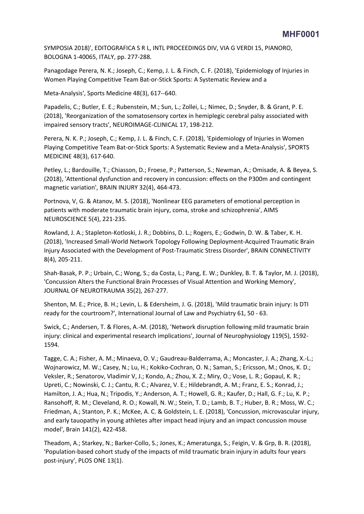SYMPOSIA 2018)', EDITOGRAFICA S R L, INTL PROCEEDINGS DIV, VIA G VERDI 15, PIANORO, BOLOGNA 1-40065, ITALY, pp. 277-288.

Panagodage Perera, N. K.; Joseph, C.; Kemp, J. L. & Finch, C. F. (2018), 'Epidemiology of Injuries in Women Playing Competitive Team Bat-or-Stick Sports: A Systematic Review and a

Meta-Analysis', Sports Medicine 48(3), 617--640.

Papadelis, C.; Butler, E. E.; Rubenstein, M.; Sun, L.; Zollei, L.; Nimec, D.; Snyder, B. & Grant, P. E. (2018), 'Reorganization of the somatosensory cortex in hemiplegic cerebral palsy associated with impaired sensory tracts', NEUROIMAGE-CLINICAL 17, 198-212.

Perera, N. K. P.; Joseph, C.; Kemp, J. L. & Finch, C. F. (2018), 'Epidemiology of Injuries in Women Playing Competitive Team Bat-or-Stick Sports: A Systematic Review and a Meta-Analysis', SPORTS MEDICINE 48(3), 617-640.

Petley, L.; Bardouille, T.; Chiasson, D.; Froese, P.; Patterson, S.; Newman, A.; Omisade, A. & Beyea, S. (2018), 'Attentional dysfunction and recovery in concussion: effects on the P300m and contingent magnetic variation', BRAIN INJURY 32(4), 464-473.

Portnova, V, G. & Atanov, M. S. (2018), 'Nonlinear EEG parameters of emotional perception in patients with moderate traumatic brain injury, coma, stroke and schizophrenia', AIMS NEUROSCIENCE 5(4), 221-235.

Rowland, J. A.; Stapleton-Kotloski, J. R.; Dobbins, D. L.; Rogers, E.; Godwin, D. W. & Taber, K. H. (2018), 'Increased Small-World Network Topology Following Deployment-Acquired Traumatic Brain Injury Associated with the Development of Post-Traumatic Stress Disorder', BRAIN CONNECTIVITY 8(4), 205-211.

Shah-Basak, P. P.; Urbain, C.; Wong, S.; da Costa, L.; Pang, E. W.; Dunkley, B. T. & Taylor, M. J. (2018), 'Concussion Alters the Functional Brain Processes of Visual Attention and Working Memory', JOURNAL OF NEUROTRAUMA 35(2), 267-277.

Shenton, M. E.; Price, B. H.; Levin, L. & Edersheim, J. G. (2018), 'Mild traumatic brain injury: Is DTI ready for the courtroom?', International Journal of Law and Psychiatry 61, 50 - 63.

Swick, C.; Andersen, T. & Flores, A.-M. (2018), 'Network disruption following mild traumatic brain injury: clinical and experimental research implications', Journal of Neurophysiology 119(5), 1592- 1594.

Tagge, C. A.; Fisher, A. M.; Minaeva, O. V.; Gaudreau-Balderrama, A.; Moncaster, J. A.; Zhang, X.-L.; Wojnarowicz, M. W.; Casey, N.; Lu, H.; Kokiko-Cochran, O. N.; Saman, S.; Ericsson, M.; Onos, K. D.; Veksler, R.; Senatorov, Vladimir V, J.; Kondo, A.; Zhou, X. Z.; Miry, O.; Vose, L. R.; Gopaul, K. R.; Upreti, C.; Nowinski, C. J.; Cantu, R. C.; Alvarez, V. E.; Hildebrandt, A. M.; Franz, E. S.; Konrad, J.; Hamilton, J. A.; Hua, N.; Tripodis, Y.; Anderson, A. T.; Howell, G. R.; Kaufer, D.; Hall, G. F.; Lu, K. P.; Ransohoff, R. M.; Cleveland, R. O.; Kowall, N. W.; Stein, T. D.; Lamb, B. T.; Huber, B. R.; Moss, W. C.; Friedman, A.; Stanton, P. K.; McKee, A. C. & Goldstein, L. E. (2018), 'Concussion, microvascular injury, and early tauopathy in young athletes after impact head injury and an impact concussion mouse model', Brain 141(2), 422-458.

Theadom, A.; Starkey, N.; Barker-Collo, S.; Jones, K.; Ameratunga, S.; Feigin, V. & Grp, B. R. (2018), 'Population-based cohort study of the impacts of mild traumatic brain injury in adults four years post-injury', PLOS ONE 13(1).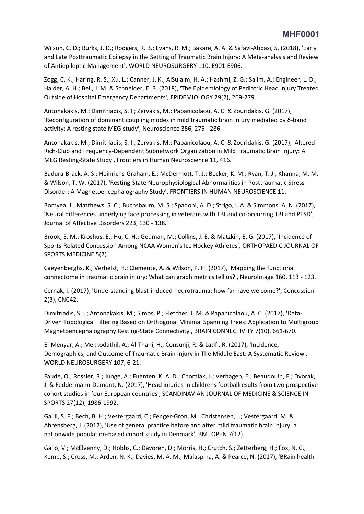Wilson, C. D.; Burks, J. D.; Rodgers, R. B.; Evans, R. M.; Bakare, A. A. & Safavi-Abbasi, S. (2018), 'Early and Late Posttraumatic Epilepsy in the Setting of Traumatic Brain Injury: A Meta-analysis and Review of Antiepileptic Management', WORLD NEUROSURGERY 110, E901-E906.

Zogg, C. K.; Haring, R. S.; Xu, L.; Canner, J. K.; AlSulaim, H. A.; Hashmi, Z. G.; Salim, A.; Engineer, L. D.; Haider, A. H.; Bell, J. M. & Schneider, E. B. (2018), 'The Epidemiology of Pediatric Head Injury Treated Outside of Hospital Emergency Departments', EPIDEMIOLOGY 29(2), 269-279.

Antonakakis, M.; Dimitriadis, S. I.; Zervakis, M.; Papanicolaou, A. C. & Zouridakis, G. (2017), 'Reconfiguration of dominant coupling modes in mild traumatic brain injury mediated by δ-band activity: A resting state MEG study', Neuroscience 356, 275 - 286.

Antonakakis, M.; Dimitriadis, S. I.; Zervakis, M.; Papanicolaou, A. C. & Zouridakis, G. (2017), 'Altered Rich-Club and Frequency-Dependent Subnetwork Organization in Mild Traumatic Brain Injury: A MEG Resting-State Study', Frontiers in Human Neuroscience 11, 416.

Badura-Brack, A. S.; Heinrichs-Graham, E.; McDermott, T. J.; Becker, K. M.; Ryan, T. J.; Khanna, M. M. & Wilson, T. W. (2017), 'Resting-State Neurophysiological Abnormalities in Posttraumatic Stress Disorder: A Magnetoencephalography Study', FRONTIERS IN HUMAN NEUROSCIENCE 11.

Bomyea, J.; Matthews, S. C.; Buchsbaum, M. S.; Spadoni, A. D.; Strigo, I. A. & Simmons, A. N. (2017), 'Neural differences underlying face processing in veterans with TBI and co-occurring TBI and PTSD', Journal of Affective Disorders 223, 130 - 138.

Brook, E. M.; Kroshus, E.; Hu, C. H.; Gedman, M.; Collins, J. E. & Matzkin, E. G. (2017), 'Incidence of Sports-Related Concussion Among NCAA Women's Ice Hockey Athletes', ORTHOPAEDIC JOURNAL OF SPORTS MEDICINE 5(7).

Caeyenberghs, K.; Verhelst, H.; Clemente, A. & Wilson, P. H. (2017), 'Mapping the functional connectome in traumatic brain injury: What can graph metrics tell us?', NeuroImage 160, 113 - 123.

Cernak, I. (2017), 'Understanding blast-induced neurotrauma: how far have we come?', Concussion 2(3), CNC42.

Dimitriadis, S. I.; Antonakakis, M.; Simos, P.; Fletcher, J. M. & Papanicolaou, A. C. (2017), 'Data-Driven Topological Filtering Based on Orthogonal Minimal Spanning Trees: Application to Multigroup Magnetoencephalography Resting-State Connectivity', BRAIN CONNECTIVITY 7(10), 661-670.

El-Menyar, A.; Mekkodathil, A.; Al-Thani, H.; Consunji, R. & Latifi, R. (2017), 'Incidence, Demographics, and Outcome of Traumatic Brain Injury in The Middle East: A Systematic Review', WORLD NEUROSURGERY 107, 6-21.

Faude, O.; Rossler, R.; Junge, A.; Fuenten, K. A. D.; Chomiak, J.; Verhagen, E.; Beaudouin, F.; Dvorak, J. & Feddermann-Demont, N. (2017), 'Head injuries in childrens footballresults from two prospective cohort studies in four European countries', SCANDINAVIAN JOURNAL OF MEDICINE & SCIENCE IN SPORTS 27(12), 1986-1992.

Galili, S. F.; Bech, B. H.; Vestergaard, C.; Fenger-Gron, M.; Christensen, J.; Vestergaard, M. & Ahrensberg, J. (2017), 'Use of general practice before and after mild traumatic brain injury: a nationwide population-based cohort study in Denmark', BMJ OPEN 7(12).

Gallo, V.; McElvenny, D.; Hobbs, C.; Davoren, D.; Morris, H.; Crutch, S.; Zetterberg, H.; Fox, N. C.; Kemp, S.; Cross, M.; Arden, N. K.; Davies, M. A. M.; Malaspina, A. & Pearce, N. (2017), 'BRain health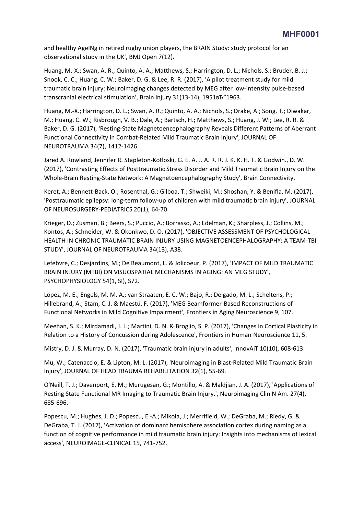and healthy AgeINg in retired rugby union players, the BRAIN Study: study protocol for an observational study in the UK', BMJ Open 7(12).

Huang, M.-X.; Swan, A. R.; Quinto, A. A.; Matthews, S.; Harrington, D. L.; Nichols, S.; Bruder, B. J.; Snook, C. C.; Huang, C. W.; Baker, D. G. & Lee, R. R. (2017), 'A pilot treatment study for mild traumatic brain injury: Neuroimaging changes detected by MEG after low-intensity pulse-based transcranial electrical stimulation', Brain injury 31(13-14), 1951Bb"1963.

Huang, M.-X.; Harrington, D. L.; Swan, A. R.; Quinto, A. A.; Nichols, S.; Drake, A.; Song, T.; Diwakar, M.; Huang, C. W.; Risbrough, V. B.; Dale, A.; Bartsch, H.; Matthews, S.; Huang, J. W.; Lee, R. R. & Baker, D. G. (2017), 'Resting-State Magnetoencephalography Reveals Different Patterns of Aberrant Functional Connectivity in Combat-Related Mild Traumatic Brain Injury', JOURNAL OF NEUROTRAUMA 34(7), 1412-1426.

Jared A. Rowland, Jennifer R. Stapleton-Kotloski, G. E. A. J. A. R. R. J. K. K. H. T. & Godwin., D. W. (2017), 'Contrasting Effects of Posttraumatic Stress Disorder and Mild Traumatic Brain Injury on the Whole-Brain Resting-State Network: A Magnetoencephalography Study', Brain Connectivity.

Keret, A.; Bennett-Back, O.; Rosenthal, G.; Gilboa, T.; Shweiki, M.; Shoshan, Y. & Benifla, M. (2017), 'Posttraumatic epilepsy: long-term follow-up of children with mild traumatic brain injury', JOURNAL OF NEUROSURGERY-PEDIATRICS 20(1), 64-70.

Krieger, D.; Zusman, B.; Beers, S.; Puccio, A.; Borrasso, A.; Edelman, K.; Sharpless, J.; Collins, M.; Kontos, A.; Schneider, W. & Okonkwo, D. O. (2017), 'OBJECTIVE ASSESSMENT OF PSYCHOLOGICAL HEALTH IN CHRONIC TRAUMATIC BRAIN INJURY USING MAGNETOENCEPHALOGRAPHY: A TEAM-TBI STUDY', JOURNAL OF NEUROTRAUMA 34(13), A38.

Lefebvre, C.; Desjardins, M.; De Beaumont, L. & Jolicoeur, P. (2017), 'IMPACT OF MILD TRAUMATIC BRAIN INJURY (MTBI) ON VISUOSPATIAL MECHANISMS IN AGING: AN MEG STUDY', PSYCHOPHYSIOLOGY 54(1, SI), S72.

López, M. E.; Engels, M. M. A.; van Straaten, E. C. W.; Bajo, R.; Delgado, M. L.; Scheltens, P.; Hillebrand, A.; Stam, C. J. & Maestú, F. (2017), 'MEG Beamformer-Based Reconstructions of Functional Networks in Mild Cognitive Impairment', Frontiers in Aging Neuroscience 9, 107.

Meehan, S. K.; Mirdamadi, J. L.; Martini, D. N. & Broglio, S. P. (2017), 'Changes in Cortical Plasticity in Relation to a History of Concussion during Adolescence', Frontiers in Human Neuroscience 11, 5.

Mistry, D. J. & Murray, D. N. (2017), 'Traumatic brain injury in adults', InnovAiT 10(10), 608-613.

Mu, W.; Catenaccio, E. & Lipton, M. L. (2017), 'Neuroimaging in Blast-Related Mild Traumatic Brain Injury', JOURNAL OF HEAD TRAUMA REHABILITATION 32(1), 55-69.

O'Neill, T. J.; Davenport, E. M.; Murugesan, G.; Montillo, A. & Maldjian, J. A. (2017), 'Applications of Resting State Functional MR Imaging to Traumatic Brain Injury.', Neuroimaging Clin N Am. 27(4), 685-696.

Popescu, M.; Hughes, J. D.; Popescu, E.-A.; Mikola, J.; Merrifield, W.; DeGraba, M.; Riedy, G. & DeGraba, T. J. (2017), 'Activation of dominant hemisphere association cortex during naming as a function of cognitive performance in mild traumatic brain injury: Insights into mechanisms of lexical access', NEUROIMAGE-CLINICAL 15, 741-752.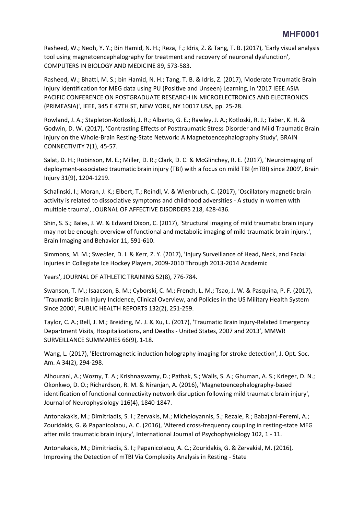Rasheed, W.; Neoh, Y. Y.; Bin Hamid, N. H.; Reza, F.; Idris, Z. & Tang, T. B. (2017), 'Early visual analysis tool using magnetoencephalography for treatment and recovery of neuronal dysfunction', COMPUTERS IN BIOLOGY AND MEDICINE 89, 573-583.

Rasheed, W.; Bhatti, M. S.; bin Hamid, N. H.; Tang, T. B. & Idris, Z. (2017), Moderate Traumatic Brain Injury Identification for MEG data using PU (Positive and Unseen) Learning, in '2017 IEEE ASIA PACIFIC CONFERENCE ON POSTGRADUATE RESEARCH IN MICROELECTRONICS AND ELECTRONICS (PRIMEASIA)', IEEE, 345 E 47TH ST, NEW YORK, NY 10017 USA, pp. 25-28.

Rowland, J. A.; Stapleton-Kotloski, J. R.; Alberto, G. E.; Rawley, J. A.; Kotloski, R. J.; Taber, K. H. & Godwin, D. W. (2017), 'Contrasting Effects of Posttraumatic Stress Disorder and Mild Traumatic Brain Injury on the Whole-Brain Resting-State Network: A Magnetoencephalography Study', BRAIN CONNECTIVITY 7(1), 45-57.

Salat, D. H.; Robinson, M. E.; Miller, D. R.; Clark, D. C. & McGlinchey, R. E. (2017), 'Neuroimaging of deployment-associated traumatic brain injury (TBI) with a focus on mild TBI (mTBI) since 2009', Brain Injury 31(9), 1204-1219.

Schalinski, I.; Moran, J. K.; Elbert, T.; Reindl, V. & Wienbruch, C. (2017), 'Oscillatory magnetic brain activity is related to dissociative symptoms and childhood adversities - A study in women with multiple trauma', JOURNAL OF AFFECTIVE DISORDERS 218, 428-436.

Shin, S. S.; Bales, J. W. & Edward Dixon, C. (2017), 'Structural imaging of mild traumatic brain injury may not be enough: overview of functional and metabolic imaging of mild traumatic brain injury.', Brain Imaging and Behavior 11, 591-610.

Simmons, M. M.; Swedler, D. I. & Kerr, Z. Y. (2017), 'Injury Surveillance of Head, Neck, and Facial Injuries in Collegiate Ice Hockey Players, 2009-2010 Through 2013-2014 Academic

Years', JOURNAL OF ATHLETIC TRAINING 52(8), 776-784.

Swanson, T. M.; Isaacson, B. M.; Cyborski, C. M.; French, L. M.; Tsao, J. W. & Pasquina, P. F. (2017), 'Traumatic Brain Injury Incidence, Clinical Overview, and Policies in the US Military Health System Since 2000', PUBLIC HEALTH REPORTS 132(2), 251-259.

Taylor, C. A.; Bell, J. M.; Breiding, M. J. & Xu, L. (2017), 'Traumatic Brain Injury-Related Emergency Department Visits, Hospitalizations, and Deaths - United States, 2007 and 2013', MMWR SURVEILLANCE SUMMARIES 66(9), 1-18.

Wang, L. (2017), 'Electromagnetic induction holography imaging for stroke detection', J. Opt. Soc. Am. A 34(2), 294-298.

Alhourani, A.; Wozny, T. A.; Krishnaswamy, D.; Pathak, S.; Walls, S. A.; Ghuman, A. S.; Krieger, D. N.; Okonkwo, D. O.; Richardson, R. M. & Niranjan, A. (2016), 'Magnetoencephalography-based identification of functional connectivity network disruption following mild traumatic brain injury', Journal of Neurophysiology 116(4), 1840-1847.

Antonakakis, M.; Dimitriadis, S. I.; Zervakis, M.; Micheloyannis, S.; Rezaie, R.; Babajani-Feremi, A.; Zouridakis, G. & Papanicolaou, A. C. (2016), 'Altered cross-frequency coupling in resting-state MEG after mild traumatic brain injury', International Journal of Psychophysiology 102, 1 - 11.

Antonakakis, M.; Dimitriadis, S. I.; Papanicolaou, A. C.; Zouridakis, G. & Zervakisl, M. (2016), Improving the Detection of mTBI Via Complexity Analysis in Resting - State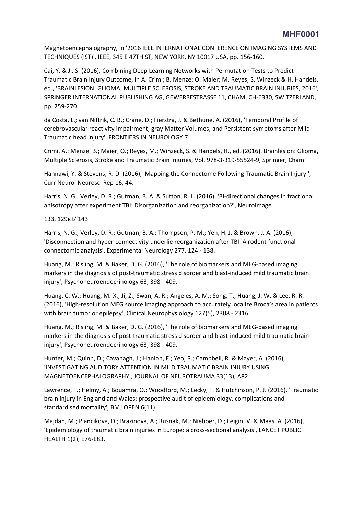Magnetoencephalography, in '2016 IEEE INTERNATIONAL CONFERENCE ON IMAGING SYSTEMS AND TECHNIQUES (IST)', IEEE, 345 E 47TH ST, NEW YORK, NY 10017 USA, pp. 156-160.

Cai, Y. & Ji, S. (2016), Combining Deep Learning Networks with Permutation Tests to Predict Traumatic Brain Injury Outcome, in A. Crimi; B. Menze; O. Maier; M. Reyes; S. Winzeck & H. Handels, ed., 'BRAINLESION: GLIOMA, MULTIPLE SCLEROSIS, STROKE AND TRAUMATIC BRAIN INJURIES, 2016', SPRINGER INTERNATIONAL PUBLISHING AG, GEWERBESTRASSE 11, CHAM, CH-6330, SWITZERLAND, pp. 259-270.

da Costa, L.; van Niftrik, C. B.; Crane, D.; Fierstra, J. & Bethune, A. (2016), 'Temporal Profile of cerebrovascular reactivity impairment, gray Matter Volumes, and Persistent symptoms after Mild Traumatic head injury', FRONTIERS IN NEUROLOGY 7.

Crimi, A.; Menze, B.; Maier, O.; Reyes, M.; Winzeck, S. & Handels, H., ed. (2016), Brainlesion: Glioma, Multiple Sclerosis, Stroke and Traumatic Brain Injuries, Vol. 978-3-319-55524-9, Springer, Cham.

Hannawi, Y. & Stevens, R. D. (2016), 'Mapping the Connectome Following Traumatic Brain Injury.', Curr Neurol Neurosci Rep 16, 44.

Harris, N. G.; Verley, D. R.; Gutman, B. A. & Sutton, R. L. (2016), 'Bi-directional changes in fractional anisotropy after experiment TBI: Disorganization and reorganization?', NeuroImage

133, 129вЪ"143.

Harris, N. G.; Verley, D. R.; Gutman, B. A.; Thompson, P. M.; Yeh, H. J. & Brown, J. A. (2016), 'Disconnection and hyper-connectivity underlie reorganization after TBI: A rodent functional connectomic analysis', Experimental Neurology 277, 124 - 138.

Huang, M.; Risling, M. & Baker, D. G. (2016), 'The role of biomarkers and MEG-based imaging markers in the diagnosis of post-traumatic stress disorder and blast-induced mild traumatic brain injury', Psychoneuroendocrinology 63, 398 - 409.

Huang, C. W.; Huang, M.-X.; Ji, Z.; Swan, A. R.; Angeles, A. M.; Song, T.; Huang, J. W. & Lee, R. R. (2016), 'High-resolution MEG source imaging approach to accurately localize Broca's area in patients with brain tumor or epilepsy', Clinical Neurophysiology 127(5), 2308 - 2316.

Huang, M.; Risling, M. & Baker, D. G. (2016), 'The role of biomarkers and MEG-based imaging markers in the diagnosis of post-traumatic stress disorder and blast-induced mild traumatic brain injury', Psychoneuroendocrinology 63, 398 - 409.

Hunter, M.; Quinn, D.; Cavanagh, J.; Hanlon, F.; Yeo, R.; Campbell, R. & Mayer, A. (2016), 'INVESTIGATING AUDITORY ATTENTION IN MILD TRAUMATIC BRAIN INJURY USING MAGNETOENCEPHALOGRAPHY', JOURNAL OF NEUROTRAUMA 33(13), A82.

Lawrence, T.; Helmy, A.; Bouamra, O.; Woodford, M.; Lecky, F. & Hutchinson, P. J. (2016), 'Traumatic brain injury in England and Wales: prospective audit of epidemiology, complications and standardised mortality', BMJ OPEN 6(11).

Majdan, M.; Plancikova, D.; Brazinova, A.; Rusnak, M.; Nieboer, D.; Feigin, V. & Maas, A. (2016), 'Epidemiology of traumatic brain injuries in Europe: a cross-sectional analysis', LANCET PUBLIC HEALTH 1(2), E76-E83.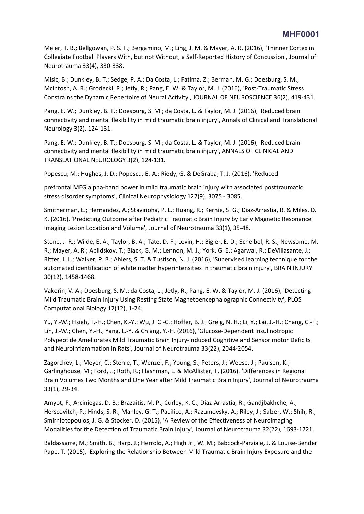Meier, T. B.; Bellgowan, P. S. F.; Bergamino, M.; Ling, J. M. & Mayer, A. R. (2016), 'Thinner Cortex in Collegiate Football Players With, but not Without, a Self-Reported History of Concussion', Journal of Neurotrauma 33(4), 330-338.

Misic, B.; Dunkley, B. T.; Sedge, P. A.; Da Costa, L.; Fatima, Z.; Berman, M. G.; Doesburg, S. M.; McIntosh, A. R.; Grodecki, R.; Jetly, R.; Pang, E. W. & Taylor, M. J. (2016), 'Post-Traumatic Stress Constrains the Dynamic Repertoire of Neural Activity', JOURNAL OF NEUROSCIENCE 36(2), 419-431.

Pang, E. W.; Dunkley, B. T.; Doesburg, S. M.; da Costa, L. & Taylor, M. J. (2016), 'Reduced brain connectivity and mental flexibility in mild traumatic brain injury', Annals of Clinical and Translational Neurology 3(2), 124-131.

Pang, E. W.; Dunkley, B. T.; Doesburg, S. M.; da Costa, L. & Taylor, M. J. (2016), 'Reduced brain connectivity and mental flexibility in mild traumatic brain injury', ANNALS OF CLINICAL AND TRANSLATIONAL NEUROLOGY 3(2), 124-131.

Popescu, M.; Hughes, J. D.; Popescu, E.-A.; Riedy, G. & DeGraba, T. J. (2016), 'Reduced

prefrontal MEG alpha-band power in mild traumatic brain injury with associated posttraumatic stress disorder symptoms', Clinical Neurophysiology 127(9), 3075 - 3085.

Smitherman, E.; Hernandez, A.; Stavinoha, P. L.; Huang, R.; Kernie, S. G.; Diaz-Arrastia, R. & Miles, D. K. (2016), 'Predicting Outcome after Pediatric Traumatic Brain Injury by Early Magnetic Resonance Imaging Lesion Location and Volume', Journal of Neurotrauma 33(1), 35-48.

Stone, J. R.; Wilde, E. A.; Taylor, B. A.; Tate, D. F.; Levin, H.; Bigler, E. D.; Scheibel, R. S.; Newsome, M. R.; Mayer, A. R.; Abildskov, T.; Black, G. M.; Lennon, M. J.; York, G. E.; Agarwal, R.; DeVillasante, J.; Ritter, J. L.; Walker, P. B.; Ahlers, S. T. & Tustison, N. J. (2016), 'Supervised learning technique for the automated identification of white matter hyperintensities in traumatic brain injury', BRAIN INJURY 30(12), 1458-1468.

Vakorin, V. A.; Doesburg, S. M.; da Costa, L.; Jetly, R.; Pang, E. W. & Taylor, M. J. (2016), 'Detecting Mild Traumatic Brain Injury Using Resting State Magnetoencephalographic Connectivity', PLOS Computational Biology 12(12), 1-24.

Yu, Y.-W.; Hsieh, T.-H.; Chen, K.-Y.; Wu, J. C.-C.; Hoffer, B. J.; Greig, N. H.; Li, Y.; Lai, J.-H.; Chang, C.-F.; Lin, J.-W.; Chen, Y.-H.; Yang, L.-Y. & Chiang, Y.-H. (2016), 'Glucose-Dependent Insulinotropic Polypeptide Ameliorates Mild Traumatic Brain Injury-Induced Cognitive and Sensorimotor Deficits and Neuroinflammation in Rats', Journal of Neurotrauma 33(22), 2044-2054.

Zagorchev, L.; Meyer, C.; Stehle, T.; Wenzel, F.; Young, S.; Peters, J.; Weese, J.; Paulsen, K.; Garlinghouse, M.; Ford, J.; Roth, R.; Flashman, L. & McAllister, T. (2016), 'Differences in Regional Brain Volumes Two Months and One Year after Mild Traumatic Brain Injury', Journal of Neurotrauma 33(1), 29-34.

Amyot, F.; Arciniegas, D. B.; Brazaitis, M. P.; Curley, K. C.; Diaz-Arrastia, R.; Gandjbakhche, A.; Herscovitch, P.; Hinds, S. R.; Manley, G. T.; Pacifico, A.; Razumovsky, A.; Riley, J.; Salzer, W.; Shih, R.; Smirniotopoulos, J. G. & Stocker, D. (2015), 'A Review of the Effectiveness of Neuroimaging Modalities for the Detection of Traumatic Brain Injury', Journal of Neurotrauma 32(22), 1693-1721.

Baldassarre, M.; Smith, B.; Harp, J.; Herrold, A.; High Jr., W. M.; Babcock-Parziale, J. & Louise-Bender Pape, T. (2015), 'Exploring the Relationship Between Mild Traumatic Brain Injury Exposure and the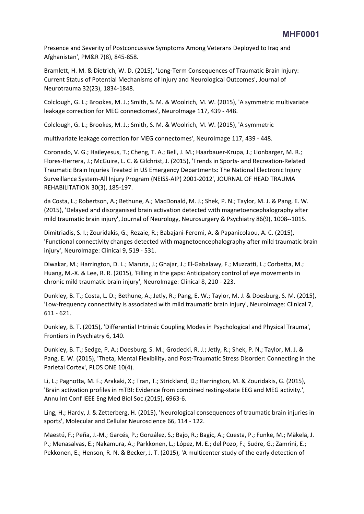Presence and Severity of Postconcussive Symptoms Among Veterans Deployed to Iraq and Afghanistan', PM&R 7(8), 845-858.

Bramlett, H. M. & Dietrich, W. D. (2015), 'Long-Term Consequences of Traumatic Brain Injury: Current Status of Potential Mechanisms of Injury and Neurological Outcomes', Journal of Neurotrauma 32(23), 1834-1848.

Colclough, G. L.; Brookes, M. J.; Smith, S. M. & Woolrich, M. W. (2015), 'A symmetric multivariate leakage correction for MEG connectomes', NeuroImage 117, 439 - 448.

Colclough, G. L.; Brookes, M. J.; Smith, S. M. & Woolrich, M. W. (2015), 'A symmetric

multivariate leakage correction for MEG connectomes', NeuroImage 117, 439 - 448.

Coronado, V. G.; Haileyesus, T.; Cheng, T. A.; Bell, J. M.; Haarbauer-Krupa, J.; Lionbarger, M. R.; Flores-Herrera, J.; McGuire, L. C. & Gilchrist, J. (2015), 'Trends in Sports- and Recreation-Related Traumatic Brain Injuries Treated in US Emergency Departments: The National Electronic Injury Surveillance System-All Injury Program (NEISS-AIP) 2001-2012', JOURNAL OF HEAD TRAUMA REHABILITATION 30(3), 185-197.

da Costa, L.; Robertson, A.; Bethune, A.; MacDonald, M. J.; Shek, P. N.; Taylor, M. J. & Pang, E. W. (2015), 'Delayed and disorganised brain activation detected with magnetoencephalography after mild traumatic brain injury', Journal of Neurology, Neurosurgery & Psychiatry 86(9), 1008--1015.

Dimitriadis, S. I.; Zouridakis, G.; Rezaie, R.; Babajani-Feremi, A. & Papanicolaou, A. C. (2015), 'Functional connectivity changes detected with magnetoencephalography after mild traumatic brain injury', NeuroImage: Clinical 9, 519 - 531.

Diwakar, M.; Harrington, D. L.; Maruta, J.; Ghajar, J.; El-Gabalawy, F.; Muzzatti, L.; Corbetta, M.; Huang, M.-X. & Lee, R. R. (2015), 'Filling in the gaps: Anticipatory control of eye movements in chronic mild traumatic brain injury', NeuroImage: Clinical 8, 210 - 223.

Dunkley, B. T.; Costa, L. D.; Bethune, A.; Jetly, R.; Pang, E. W.; Taylor, M. J. & Doesburg, S. M. (2015), 'Low-frequency connectivity is associated with mild traumatic brain injury', NeuroImage: Clinical 7, 611 - 621.

Dunkley, B. T. (2015), 'Differential Intrinsic Coupling Modes in Psychological and Physical Trauma', Frontiers in Psychiatry 6, 140.

Dunkley, B. T.; Sedge, P. A.; Doesburg, S. M.; Grodecki, R. J.; Jetly, R.; Shek, P. N.; Taylor, M. J. & Pang, E. W. (2015), 'Theta, Mental Flexibility, and Post-Traumatic Stress Disorder: Connecting in the Parietal Cortex', PLOS ONE 10(4).

Li, L.; Pagnotta, M. F.; Arakaki, X.; Tran, T.; Strickland, D.; Harrington, M. & Zouridakis, G. (2015), 'Brain activation profiles in mTBI: Evidence from combined resting-state EEG and MEG activity.', Annu Int Conf IEEE Eng Med Biol Soc.(2015), 6963-6.

Ling, H.; Hardy, J. & Zetterberg, H. (2015), 'Neurological consequences of traumatic brain injuries in sports', Molecular and Cellular Neuroscience 66, 114 - 122.

Maestú, F.; Peña, J.-M.; Garcés, P.; González, S.; Bajo, R.; Bagic, A.; Cuesta, P.; Funke, M.; Mäkelä, J. P.; Menasalvas, E.; Nakamura, A.; Parkkonen, L.; López, M. E.; del Pozo, F.; Sudre, G.; Zamrini, E.; Pekkonen, E.; Henson, R. N. & Becker, J. T. (2015), 'A multicenter study of the early detection of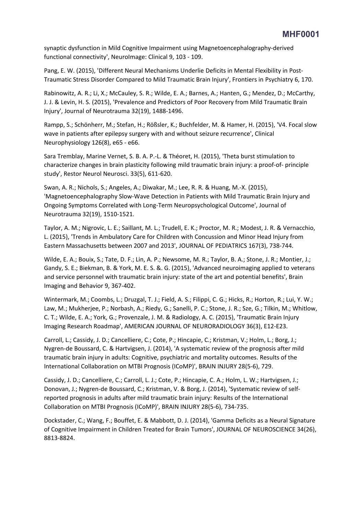synaptic dysfunction in Mild Cognitive Impairment using Magnetoencephalography-derived functional connectivity', NeuroImage: Clinical 9, 103 - 109.

Pang, E. W. (2015), 'Different Neural Mechanisms Underlie Deficits in Mental Flexibility in Post-Traumatic Stress Disorder Compared to Mild Traumatic Brain Injury', Frontiers in Psychiatry 6, 170.

Rabinowitz, A. R.; Li, X.; McCauley, S. R.; Wilde, E. A.; Barnes, A.; Hanten, G.; Mendez, D.; McCarthy, J. J. & Levin, H. S. (2015), 'Prevalence and Predictors of Poor Recovery from Mild Traumatic Brain Injury', Journal of Neurotrauma 32(19), 1488-1496.

Rampp, S.; Schönherr, M.; Stefan, H.; Rößsler, K.; Buchfelder, M. & Hamer, H. (2015), 'V4. Focal slow wave in patients after epilepsy surgery with and without seizure recurrence', Clinical Neurophysiology 126(8), e65 - e66.

Sara Tremblay, Marine Vernet, S. B. A. P.-L. & Théoret, H. (2015), 'Theta burst stimulation to characterize changes in brain plasticity following mild traumatic brain injury: a proof-of- principle study', Restor Neurol Neurosci. 33(5), 611-620.

Swan, A. R.; Nichols, S.; Angeles, A.; Diwakar, M.; Lee, R. R. & Huang, M.-X. (2015), 'Magnetoencephalography Slow-Wave Detection in Patients with Mild Traumatic Brain Injury and Ongoing Symptoms Correlated with Long-Term Neuropsychological Outcome', Journal of Neurotrauma 32(19), 1510-1521.

Taylor, A. M.; Nigrovic, L. E.; Saillant, M. L.; Trudell, E. K.; Proctor, M. R.; Modest, J. R. & Vernacchio, L. (2015), 'Trends in Ambulatory Care for Children with Concussion and Minor Head Injury from Eastern Massachusetts between 2007 and 2013', JOURNAL OF PEDIATRICS 167(3), 738-744.

Wilde, E. A.; Bouix, S.; Tate, D. F.; Lin, A. P.; Newsome, M. R.; Taylor, B. A.; Stone, J. R.; Montier, J.; Gandy, S. E.; Biekman, B. & York, M. E. S. &. G. (2015), 'Advanced neuroimaging applied to veterans and service personnel with traumatic brain injury: state of the art and potential benefits', Brain Imaging and Behavior 9, 367-402.

Wintermark, M.; Coombs, L.; Druzgal, T. J.; Field, A. S.; Filippi, C. G.; Hicks, R.; Horton, R.; Lui, Y. W.; Law, M.; Mukherjee, P.; Norbash, A.; Riedy, G.; Sanelli, P. C.; Stone, J. R.; Sze, G.; Tilkin, M.; Whitlow, C. T.; Wilde, E. A.; York, G.; Provenzale, J. M. & Radiology, A. C. (2015), 'Traumatic Brain Injury Imaging Research Roadmap', AMERICAN JOURNAL OF NEURORADIOLOGY 36(3), E12-E23.

Carroll, L.; Cassidy, J. D.; Cancelliere, C.; Cote, P.; Hincapie, C.; Kristman, V.; Holm, L.; Borg, J.; Nygren-de Boussard, C. & Hartvigsen, J. (2014), 'A systematic review of the prognosis after mild traumatic brain injury in adults: Cognitive, psychiatric and mortality outcomes. Results of the International Collaboration on MTBI Prognosis (ICoMP)', BRAIN INJURY 28(5-6), 729.

Cassidy, J. D.; Cancelliere, C.; Carroll, L. J.; Cote, P.; Hincapie, C. A.; Holm, L. W.; Hartvigsen, J.; Donovan, J.; Nygren-de Boussard, C.; Kristman, V. & Borg, J. (2014), 'Systematic review of selfreported prognosis in adults after mild traumatic brain injury: Results of the International Collaboration on MTBI Prognosis (ICoMP)', BRAIN INJURY 28(5-6), 734-735.

Dockstader, C.; Wang, F.; Bouffet, E. & Mabbott, D. J. (2014), 'Gamma Deficits as a Neural Signature of Cognitive Impairment in Children Treated for Brain Tumors', JOURNAL OF NEUROSCIENCE 34(26), 8813-8824.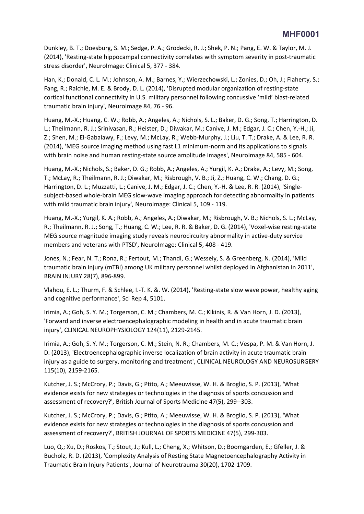Dunkley, B. T.; Doesburg, S. M.; Sedge, P. A.; Grodecki, R. J.; Shek, P. N.; Pang, E. W. & Taylor, M. J. (2014), 'Resting-state hippocampal connectivity correlates with symptom severity in post-traumatic stress disorder', NeuroImage: Clinical 5, 377 - 384.

Han, K.; Donald, C. L. M.; Johnson, A. M.; Barnes, Y.; Wierzechowski, L.; Zonies, D.; Oh, J.; Flaherty, S.; Fang, R.; Raichle, M. E. & Brody, D. L. (2014), 'Disrupted modular organization of resting-state cortical functional connectivity in U.S. military personnel following concussive 'mild' blast-related traumatic brain injury', NeuroImage 84, 76 - 96.

Huang, M.-X.; Huang, C. W.; Robb, A.; Angeles, A.; Nichols, S. L.; Baker, D. G.; Song, T.; Harrington, D. L.; Theilmann, R. J.; Srinivasan, R.; Heister, D.; Diwakar, M.; Canive, J. M.; Edgar, J. C.; Chen, Y.-H.; Ji, Z.; Shen, M.; El-Gabalawy, F.; Levy, M.; McLay, R.; Webb-Murphy, J.; Liu, T. T.; Drake, A. & Lee, R. R. (2014), 'MEG source imaging method using fast L1 minimum-norm and its applications to signals with brain noise and human resting-state source amplitude images', NeuroImage 84, 585 - 604.

Huang, M.-X.; Nichols, S.; Baker, D. G.; Robb, A.; Angeles, A.; Yurgil, K. A.; Drake, A.; Levy, M.; Song, T.; McLay, R.; Theilmann, R. J.; Diwakar, M.; Risbrough, V. B.; Ji, Z.; Huang, C. W.; Chang, D. G.; Harrington, D. L.; Muzzatti, L.; Canive, J. M.; Edgar, J. C.; Chen, Y.-H. & Lee, R. R. (2014), 'Singlesubject-based whole-brain MEG slow-wave imaging approach for detecting abnormality in patients with mild traumatic brain injury', NeuroImage: Clinical 5, 109 - 119.

Huang, M.-X.; Yurgil, K. A.; Robb, A.; Angeles, A.; Diwakar, M.; Risbrough, V. B.; Nichols, S. L.; McLay, R.; Theilmann, R. J.; Song, T.; Huang, C. W.; Lee, R. R. & Baker, D. G. (2014), 'Voxel-wise resting-state MEG source magnitude imaging study reveals neurocircuitry abnormality in active-duty service members and veterans with PTSD', NeuroImage: Clinical 5, 408 - 419.

Jones, N.; Fear, N. T.; Rona, R.; Fertout, M.; Thandi, G.; Wessely, S. & Greenberg, N. (2014), 'Mild traumatic brain injury (mTBI) among UK military personnel whilst deployed in Afghanistan in 2011', BRAIN INJURY 28(7), 896-899.

Vlahou, E. L.; Thurm, F. & Schlee, I.-T. K. &. W. (2014), 'Resting-state slow wave power, healthy aging and cognitive performance', Sci Rep 4, 5101.

Irimia, A.; Goh, S. Y. M.; Torgerson, C. M.; Chambers, M. C.; Kikinis, R. & Van Horn, J. D. (2013), 'Forward and inverse electroencephalographic modeling in health and in acute traumatic brain injury', CLINICAL NEUROPHYSIOLOGY 124(11), 2129-2145.

Irimia, A.; Goh, S. Y. M.; Torgerson, C. M.; Stein, N. R.; Chambers, M. C.; Vespa, P. M. & Van Horn, J. D. (2013), 'Electroencephalographic inverse localization of brain activity in acute traumatic brain injury as a guide to surgery, monitoring and treatment', CLINICAL NEUROLOGY AND NEUROSURGERY 115(10), 2159-2165.

Kutcher, J. S.; McCrory, P.; Davis, G.; Ptito, A.; Meeuwisse, W. H. & Broglio, S. P. (2013), 'What evidence exists for new strategies or technologies in the diagnosis of sports concussion and assessment of recovery?', British Journal of Sports Medicine 47(5), 299--303.

Kutcher, J. S.; McCrory, P.; Davis, G.; Ptito, A.; Meeuwisse, W. H. & Broglio, S. P. (2013), 'What evidence exists for new strategies or technologies in the diagnosis of sports concussion and assessment of recovery?', BRITISH JOURNAL OF SPORTS MEDICINE 47(5), 299-303.

Luo, Q.; Xu, D.; Roskos, T.; Stout, J.; Kull, L.; Cheng, X.; Whitson, D.; Boomgarden, E.; Gfeller, J. & Bucholz, R. D. (2013), 'Complexity Analysis of Resting State Magnetoencephalography Activity in Traumatic Brain Injury Patients', Journal of Neurotrauma 30(20), 1702-1709.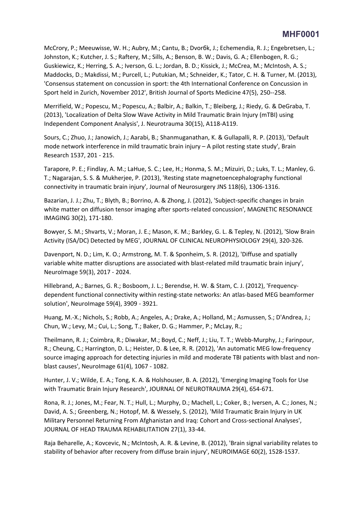McCrory, P.; Meeuwisse, W. H.; Aubry, M.; Cantu, B.; Dvorбk, J.; Echemendia, R. J.; Engebretsen, L.; Johnston, K.; Kutcher, J. S.; Raftery, M.; Sills, A.; Benson, B. W.; Davis, G. A.; Ellenbogen, R. G.; Guskiewicz, K.; Herring, S. A.; Iverson, G. L.; Jordan, B. D.; Kissick, J.; McCrea, M.; McIntosh, A. S.; Maddocks, D.; Makdissi, M.; Purcell, L.; Putukian, M.; Schneider, K.; Tator, C. H. & Turner, M. (2013), 'Consensus statement on concussion in sport: the 4th International Conference on Concussion in Sport held in Zurich, November 2012', British Journal of Sports Medicine 47(5), 250--258.

Merrifield, W.; Popescu, M.; Popescu, A.; Balbir, A.; Balkin, T.; Bleiberg, J.; Riedy, G. & DeGraba, T. (2013), 'Localization of Delta Slow Wave Activity in Mild Traumatic Brain Injury (mTBI) using Independent Component Analysis', J. Neurotrauma 30(15), A118-A119.

Sours, C.; Zhuo, J.; Janowich, J.; Aarabi, B.; Shanmuganathan, K. & Gullapalli, R. P. (2013), 'Default mode network interference in mild traumatic brain injury – A pilot resting state study', Brain Research 1537, 201 - 215.

Tarapore, P. E.; Findlay, A. M.; LaHue, S. C.; Lee, H.; Honma, S. M.; Mizuiri, D.; Luks, T. L.; Manley, G. T.; Nagarajan, S. S. & Mukherjee, P. (2013), 'Resting state magnetoencephalography functional connectivity in traumatic brain injury', Journal of Neurosurgery JNS 118(6), 1306-1316.

Bazarian, J. J.; Zhu, T.; Blyth, B.; Borrino, A. & Zhong, J. (2012), 'Subject-specific changes in brain white matter on diffusion tensor imaging after sports-related concussion', MAGNETIC RESONANCE IMAGING 30(2), 171-180.

Bowyer, S. M.; Shvarts, V.; Moran, J. E.; Mason, K. M.; Barkley, G. L. & Tepley, N. (2012), 'Slow Brain Activity (ISA/DC) Detected by MEG', JOURNAL OF CLINICAL NEUROPHYSIOLOGY 29(4), 320-326.

Davenport, N. D.; Lim, K. O.; Armstrong, M. T. & Sponheim, S. R. (2012), 'Diffuse and spatially variable white matter disruptions are associated with blast-related mild traumatic brain injury', NeuroImage 59(3), 2017 - 2024.

Hillebrand, A.; Barnes, G. R.; Bosboom, J. L.; Berendse, H. W. & Stam, C. J. (2012), 'Frequencydependent functional connectivity within resting-state networks: An atlas-based MEG beamformer solution', NeuroImage 59(4), 3909 - 3921.

Huang, M.-X.; Nichols, S.; Robb, A.; Angeles, A.; Drake, A.; Holland, M.; Asmussen, S.; D'Andrea, J.; Chun, W.; Levy, M.; Cui, L.; Song, T.; Baker, D. G.; Hammer, P.; McLay, R.;

Theilmann, R. J.; Coimbra, R.; Diwakar, M.; Boyd, C.; Neff, J.; Liu, T. T.; Webb-Murphy, J.; Farinpour, R.; Cheung, C.; Harrington, D. L.; Heister, D. & Lee, R. R. (2012), 'An automatic MEG low-frequency source imaging approach for detecting injuries in mild and moderate TBI patients with blast and nonblast causes', NeuroImage 61(4), 1067 - 1082.

Hunter, J. V.; Wilde, E. A.; Tong, K. A. & Holshouser, B. A. (2012), 'Emerging Imaging Tools for Use with Traumatic Brain Injury Research', JOURNAL OF NEUROTRAUMA 29(4), 654-671.

Rona, R. J.; Jones, M.; Fear, N. T.; Hull, L.; Murphy, D.; Machell, L.; Coker, B.; Iversen, A. C.; Jones, N.; David, A. S.; Greenberg, N.; Hotopf, M. & Wessely, S. (2012), 'Mild Traumatic Brain Injury in UK Military Personnel Returning From Afghanistan and Iraq: Cohort and Cross-sectional Analyses', JOURNAL OF HEAD TRAUMA REHABILITATION 27(1), 33-44.

Raja Beharelle, A.; Kovcevic, N.; McIntosh, A. R. & Levine, B. (2012), 'Brain signal variability relates to stability of behavior after recovery from diffuse brain injury', NEUROIMAGE 60(2), 1528-1537.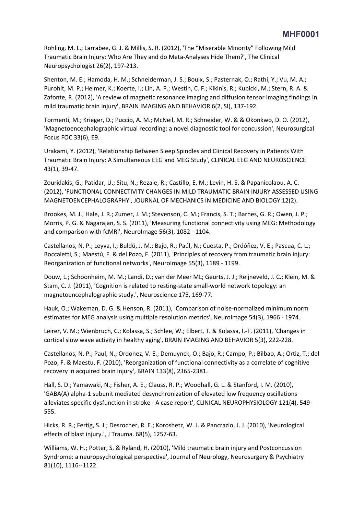Rohling, M. L.; Larrabee, G. J. & Millis, S. R. (2012), 'The "Miserable Minority" Following Mild Traumatic Brain Injury: Who Are They and do Meta-Analyses Hide Them?', The Clinical Neuropsychologist 26(2), 197-213.

Shenton, M. E.; Hamoda, H. M.; Schneiderman, J. S.; Bouix, S.; Pasternak, O.; Rathi, Y.; Vu, M. A.; Purohit, M. P.; Helmer, K.; Koerte, I.; Lin, A. P.; Westin, C. F.; Kikinis, R.; Kubicki, M.; Stern, R. A. & Zafonte, R. (2012), 'A review of magnetic resonance imaging and diffusion tensor imaging findings in mild traumatic brain injury', BRAIN IMAGING AND BEHAVIOR 6(2, SI), 137-192.

Tormenti, M.; Krieger, D.; Puccio, A. M.; McNeil, M. R.; Schneider, W. & & Okonkwo, D. O. (2012), 'Magnetoencephalographic virtual recording: a novel diagnostic tool for concussion', Neurosurgical Focus FOC 33(6), E9.

Urakami, Y. (2012), 'Relationship Between Sleep Spindles and Clinical Recovery in Patients With Traumatic Brain Injury: A Simultaneous EEG and MEG Study', CLINICAL EEG AND NEUROSCIENCE 43(1), 39-47.

Zouridakis, G.; Patidar, U.; Situ, N.; Rezaie, R.; Castillo, E. M.; Levin, H. S. & Papanicolaou, A. C. (2012), 'FUNCTIONAL CONNECTIVITY CHANGES IN MILD TRAUMATIC BRAIN INJURY ASSESSED USING MAGNETOENCEPHALOGRAPHY', JOURNAL OF MECHANICS IN MEDICINE AND BIOLOGY 12(2).

Brookes, M. J.; Hale, J. R.; Zumer, J. M.; Stevenson, C. M.; Francis, S. T.; Barnes, G. R.; Owen, J. P.; Morris, P. G. & Nagarajan, S. S. (2011), 'Measuring functional connectivity using MEG: Methodology and comparison with fcMRI', NeuroImage 56(3), 1082 - 1104.

Castellanos, N. P.; Leyva, I.; Buldú, J. M.; Bajo, R.; Paúl, N.; Cuesta, P.; Ordóñez, V. E.; Pascua, C. L.; Boccaletti, S.; Maestú, F. & del Pozo, F. (2011), 'Principles of recovery from traumatic brain injury: Reorganization of functional networks', NeuroImage 55(3), 1189 - 1199.

Douw, L.; Schoonheim, M. M.; Landi, D.; van der Meer ML; Geurts, J. J.; Reijneveld, J. C.; Klein, M. & Stam, C. J. (2011), 'Cognition is related to resting-state small-world network topology: an magnetoencephalographic study.', Neuroscience 175, 169-77.

Hauk, O.; Wakeman, D. G. & Henson, R. (2011), 'Comparison of noise-normalized minimum norm estimates for MEG analysis using multiple resolution metrics', NeuroImage 54(3), 1966 - 1974.

Leirer, V. M.; Wienbruch, C.; Kolassa, S.; Schlee, W.; Elbert, T. & Kolassa, I.-T. (2011), 'Changes in cortical slow wave activity in healthy aging', BRAIN IMAGING AND BEHAVIOR 5(3), 222-228.

Castellanos, N. P.; Paul, N.; Ordonez, V. E.; Demuynck, O.; Bajo, R.; Campo, P.; Bilbao, A.; Ortiz, T.; del Pozo, F. & Maestu, F. (2010), 'Reorganization of functional connectivity as a correlate of cognitive recovery in acquired brain injury', BRAIN 133(8), 2365-2381.

Hall, S. D.; Yamawaki, N.; Fisher, A. E.; Clauss, R. P.; Woodhall, G. L. & Stanford, I. M. (2010), 'GABA(A) alpha-1 subunit mediated desynchronization of elevated low frequency oscillations alleviates specific dysfunction in stroke - A case report', CLINICAL NEUROPHYSIOLOGY 121(4), 549- 555.

Hicks, R. R.; Fertig, S. J.; Desrocher, R. E.; Koroshetz, W. J. & Pancrazio, J. J. (2010), 'Neurological effects of blast injury.', J Trauma. 68(5), 1257-63.

Williams, W. H.; Potter, S. & Ryland, H. (2010), 'Mild traumatic brain injury and Postconcussion Syndrome: a neuropsychological perspective', Journal of Neurology, Neurosurgery & Psychiatry 81(10), 1116--1122.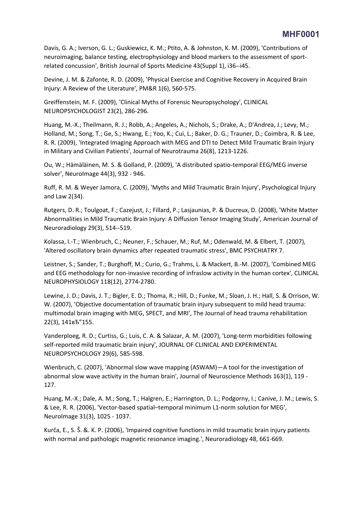Davis, G. A.; Iverson, G. L.; Guskiewicz, K. M.; Ptito, A. & Johnston, K. M. (2009), 'Contributions of neuroimaging, balance testing, electrophysiology and blood markers to the assessment of sportrelated concussion', British Journal of Sports Medicine 43(Suppl 1), i36--i45.

Devine, J. M. & Zafonte, R. D. (2009), 'Physical Exercise and Cognitive Recovery in Acquired Brain Injury: A Review of the Literature', PM&R 1(6), 560-575.

Greiffenstein, M. F. (2009), 'Clinical Myths of Forensic Neuropsychology', CLINICAL NEUROPSYCHOLOGIST 23(2), 286-296.

Huang, M.-X.; Theilmann, R. J.; Robb, A.; Angeles, A.; Nichols, S.; Drake, A.; D'Andrea, J.; Levy, M.; Holland, M.; Song, T.; Ge, S.; Hwang, E.; Yoo, K.; Cui, L.; Baker, D. G.; Trauner, D.; Coimbra, R. & Lee, R. R. (2009), 'Integrated Imaging Approach with MEG and DTI to Detect Mild Traumatic Brain Injury in Military and Civilian Patients', Journal of Neurotrauma 26(8), 1213-1226.

Ou, W.; Hämäläinen, M. S. & Golland, P. (2009), 'A distributed spatio-temporal EEG/MEG inverse solver', NeuroImage 44(3), 932 - 946.

Ruff, R. M. & Weyer Jamora, C. (2009), 'Myths and Mild Traumatic Brain Injury', Psychological Injury and Law 2(34).

Rutgers, D. R.; Toulgoat, F.; Cazejust, J.; Fillard, P.; Lasjaunias, P. & Ducreux, D. (2008), 'White Matter Abnormalities in Mild Traumatic Brain Injury: A Diffusion Tensor Imaging Study', American Journal of Neuroradiology 29(3), 514--519.

Kolassa, I.-T.; Wienbruch, C.; Neuner, F.; Schauer, M.; Ruf, M.; Odenwald, M. & Elbert, T. (2007), 'Altered oscillatory brain dynamics after repeated traumatic stress', BMC PSYCHIATRY 7.

Leistner, S.; Sander, T.; Burghoff, M.; Curio, G.; Trahms, L. & Mackert, B.-M. (2007), 'Combined MEG and EEG methodology for non-invasive recording of infraslow activity in the human cortex', CLINICAL NEUROPHYSIOLOGY 118(12), 2774-2780.

Lewine, J. D.; Davis, J. T.; Bigler, E. D.; Thoma, R.; Hill, D.; Funke, M.; Sloan, J. H.; Hall, S. & Orrison, W. W. (2007), 'Objective documentation of traumatic brain injury subsequent to mild head trauma: multimodal brain imaging with MEG, SPECT, and MRI', The Journal of head trauma rehabilitation 22(3), 141вЪ"155.

Vanderploeg, R. D.; Curtiss, G.; Luis, C. A. & Salazar, A. M. (2007), 'Long-term morbidities following self-reported mild traumatic brain injury', JOURNAL OF CLINICAL AND EXPERIMENTAL NEUROPSYCHOLOGY 29(6), 585-598.

Wienbruch, C. (2007), 'Abnormal slow wave mapping (ASWAM)—A tool for the investigation of abnormal slow wave activity in the human brain', Journal of Neuroscience Methods 163(1), 119 - 127.

Huang, M.-X.; Dale, A. M.; Song, T.; Halgren, E.; Harrington, D. L.; Podgorny, I.; Canive, J. M.; Lewis, S. & Lee, R. R. (2006), 'Vector-based spatial–temporal minimum L1-norm solution for MEG', NeuroImage 31(3), 1025 - 1037.

Kurča, E., S. Š. &. K. P. (2006), 'Impaired cognitive functions in mild traumatic brain injury patients with normal and pathologic magnetic resonance imaging.', Neuroradiology 48, 661-669.